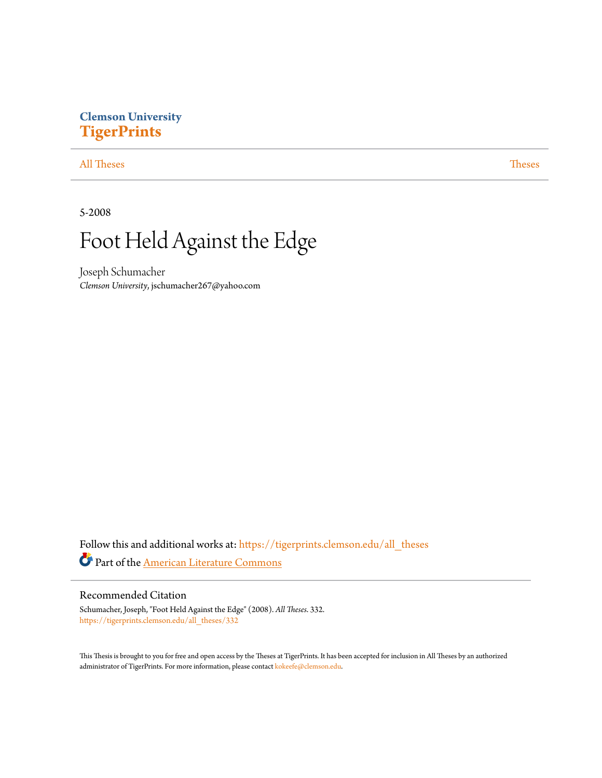# **Clemson University [TigerPrints](https://tigerprints.clemson.edu?utm_source=tigerprints.clemson.edu%2Fall_theses%2F332&utm_medium=PDF&utm_campaign=PDFCoverPages)**

# [All Theses](https://tigerprints.clemson.edu/all_theses?utm_source=tigerprints.clemson.edu%2Fall_theses%2F332&utm_medium=PDF&utm_campaign=PDFCoverPages) **[Theses](https://tigerprints.clemson.edu/theses?utm_source=tigerprints.clemson.edu%2Fall_theses%2F332&utm_medium=PDF&utm_campaign=PDFCoverPages)**

5-2008

# Foot Held Against the Edge

Joseph Schumacher *Clemson University*, jschumacher267@yahoo.com

Follow this and additional works at: [https://tigerprints.clemson.edu/all\\_theses](https://tigerprints.clemson.edu/all_theses?utm_source=tigerprints.clemson.edu%2Fall_theses%2F332&utm_medium=PDF&utm_campaign=PDFCoverPages) Part of the [American Literature Commons](http://network.bepress.com/hgg/discipline/441?utm_source=tigerprints.clemson.edu%2Fall_theses%2F332&utm_medium=PDF&utm_campaign=PDFCoverPages)

### Recommended Citation

Schumacher, Joseph, "Foot Held Against the Edge" (2008). *All Theses*. 332. [https://tigerprints.clemson.edu/all\\_theses/332](https://tigerprints.clemson.edu/all_theses/332?utm_source=tigerprints.clemson.edu%2Fall_theses%2F332&utm_medium=PDF&utm_campaign=PDFCoverPages)

This Thesis is brought to you for free and open access by the Theses at TigerPrints. It has been accepted for inclusion in All Theses by an authorized administrator of TigerPrints. For more information, please contact [kokeefe@clemson.edu](mailto:kokeefe@clemson.edu).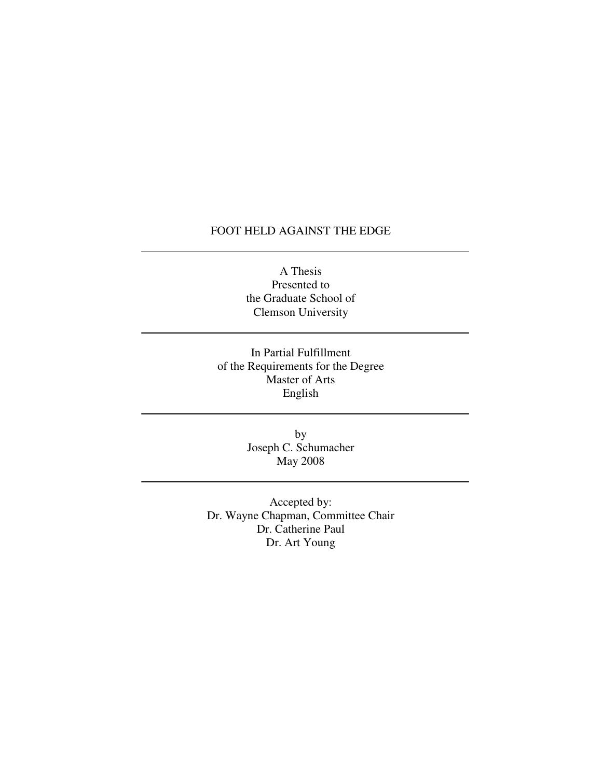# FOOT HELD AGAINST THE EDGE

A Thesis Presented to the Graduate School of Clemson University

In Partial Fulfillment of the Requirements for the Degree Master of Arts English

> by Joseph C. Schumacher May 2008

Accepted by: Dr. Wayne Chapman, Committee Chair Dr. Catherine Paul Dr. Art Young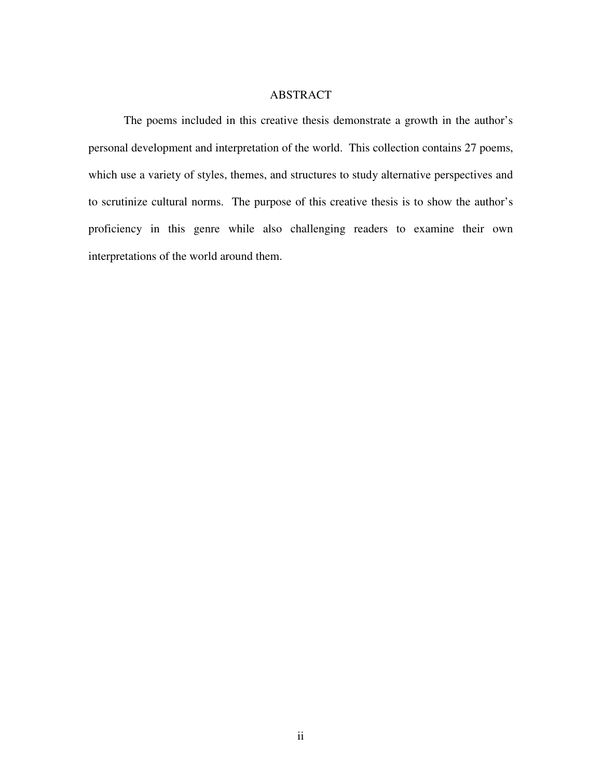### ABSTRACT

 The poems included in this creative thesis demonstrate a growth in the author's personal development and interpretation of the world. This collection contains 27 poems, which use a variety of styles, themes, and structures to study alternative perspectives and to scrutinize cultural norms. The purpose of this creative thesis is to show the author's proficiency in this genre while also challenging readers to examine their own interpretations of the world around them.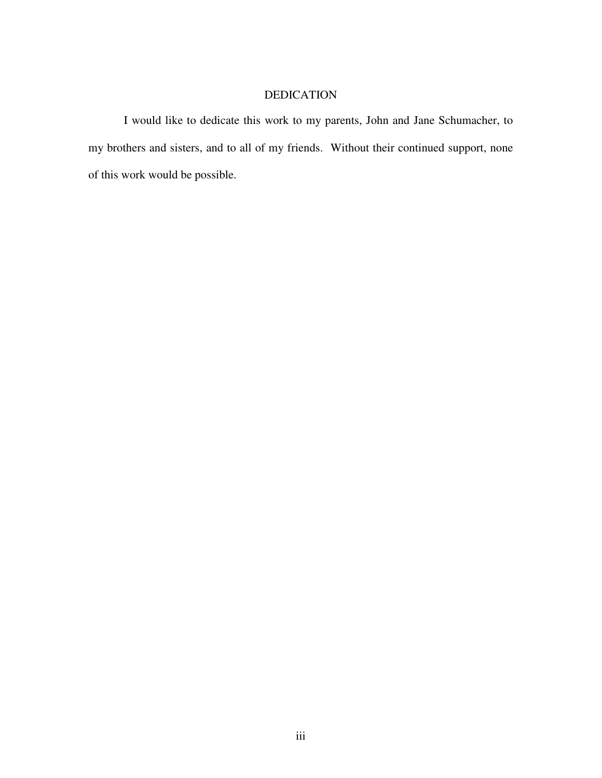# DEDICATION

I would like to dedicate this work to my parents, John and Jane Schumacher, to my brothers and sisters, and to all of my friends. Without their continued support, none of this work would be possible.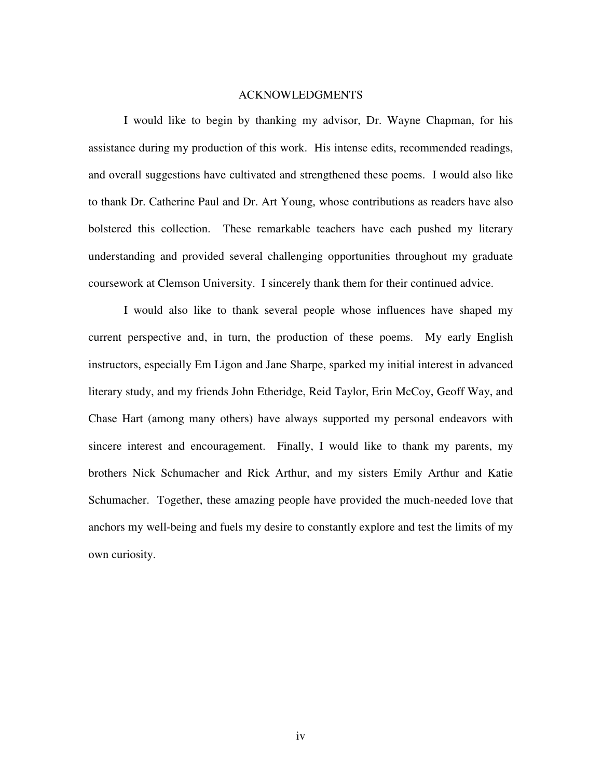#### ACKNOWLEDGMENTS

 I would like to begin by thanking my advisor, Dr. Wayne Chapman, for his assistance during my production of this work. His intense edits, recommended readings, and overall suggestions have cultivated and strengthened these poems. I would also like to thank Dr. Catherine Paul and Dr. Art Young, whose contributions as readers have also bolstered this collection. These remarkable teachers have each pushed my literary understanding and provided several challenging opportunities throughout my graduate coursework at Clemson University. I sincerely thank them for their continued advice.

 I would also like to thank several people whose influences have shaped my current perspective and, in turn, the production of these poems. My early English instructors, especially Em Ligon and Jane Sharpe, sparked my initial interest in advanced literary study, and my friends John Etheridge, Reid Taylor, Erin McCoy, Geoff Way, and Chase Hart (among many others) have always supported my personal endeavors with sincere interest and encouragement. Finally, I would like to thank my parents, my brothers Nick Schumacher and Rick Arthur, and my sisters Emily Arthur and Katie Schumacher. Together, these amazing people have provided the much-needed love that anchors my well-being and fuels my desire to constantly explore and test the limits of my own curiosity.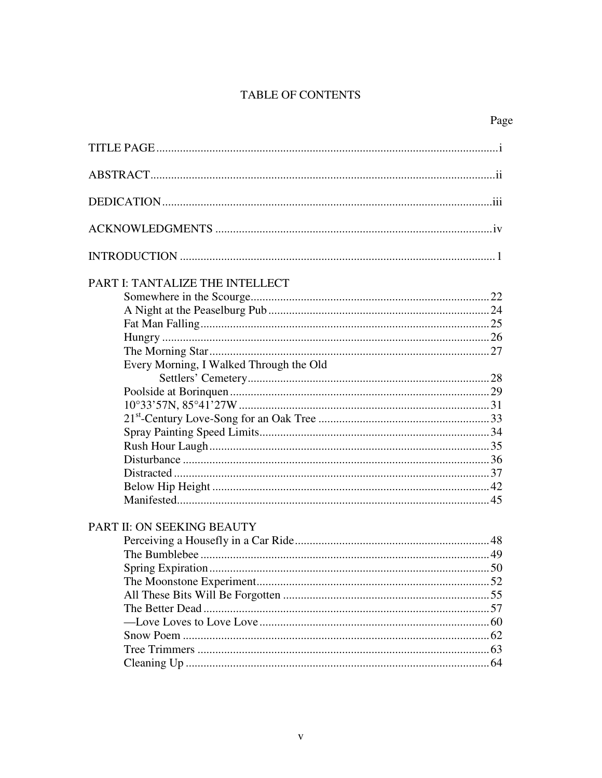# TABLE OF CONTENTS

| PART I: TANTALIZE THE INTELLECT         |  |
|-----------------------------------------|--|
|                                         |  |
|                                         |  |
|                                         |  |
|                                         |  |
|                                         |  |
| Every Morning, I Walked Through the Old |  |
|                                         |  |
|                                         |  |
|                                         |  |
|                                         |  |
|                                         |  |
|                                         |  |
|                                         |  |
|                                         |  |
|                                         |  |
|                                         |  |
| PART II: ON SEEKING BEAUTY              |  |
|                                         |  |
|                                         |  |
|                                         |  |
|                                         |  |
|                                         |  |
|                                         |  |
|                                         |  |
|                                         |  |
|                                         |  |
|                                         |  |
|                                         |  |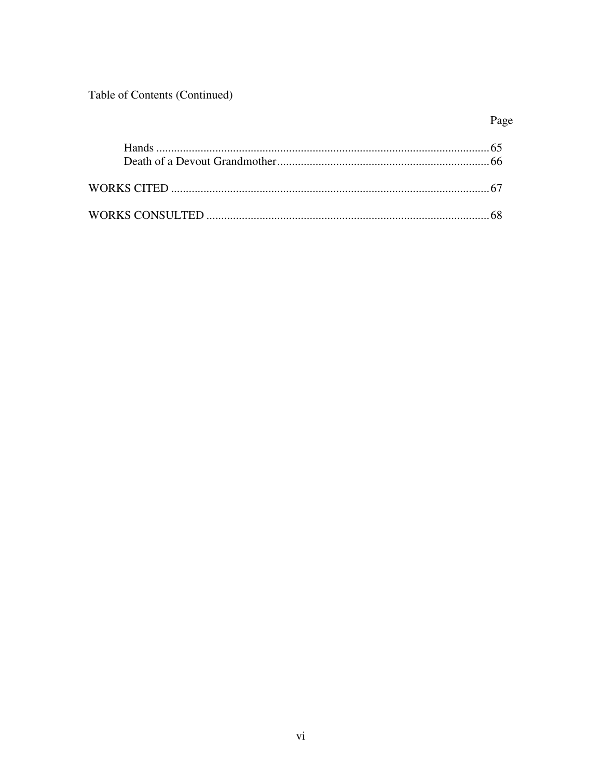Table of Contents (Continued)

# Page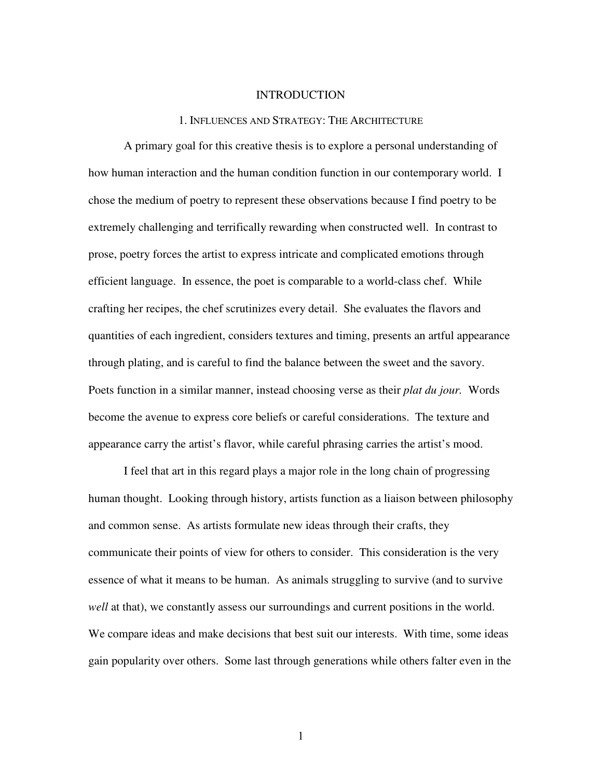#### **INTRODUCTION**

#### 1. INFLUENCES AND STRATEGY: THE ARCHITECTURE

A primary goal for this creative thesis is to explore a personal understanding of how human interaction and the human condition function in our contemporary world. I chose the medium of poetry to represent these observations because I find poetry to be extremely challenging and terrifically rewarding when constructed well. In contrast to prose, poetry forces the artist to express intricate and complicated emotions through efficient language. In essence, the poet is comparable to a world-class chef. While crafting her recipes, the chef scrutinizes every detail. She evaluates the flavors and quantities of each ingredient, considers textures and timing, presents an artful appearance through plating, and is careful to find the balance between the sweet and the savory. Poets function in a similar manner, instead choosing verse as their *plat du jour.* Words become the avenue to express core beliefs or careful considerations. The texture and appearance carry the artist's flavor, while careful phrasing carries the artist's mood.

I feel that art in this regard plays a major role in the long chain of progressing human thought. Looking through history, artists function as a liaison between philosophy and common sense. As artists formulate new ideas through their crafts, they communicate their points of view for others to consider. This consideration is the very essence of what it means to be human. As animals struggling to survive (and to survive *well* at that), we constantly assess our surroundings and current positions in the world. We compare ideas and make decisions that best suit our interests. With time, some ideas gain popularity over others. Some last through generations while others falter even in the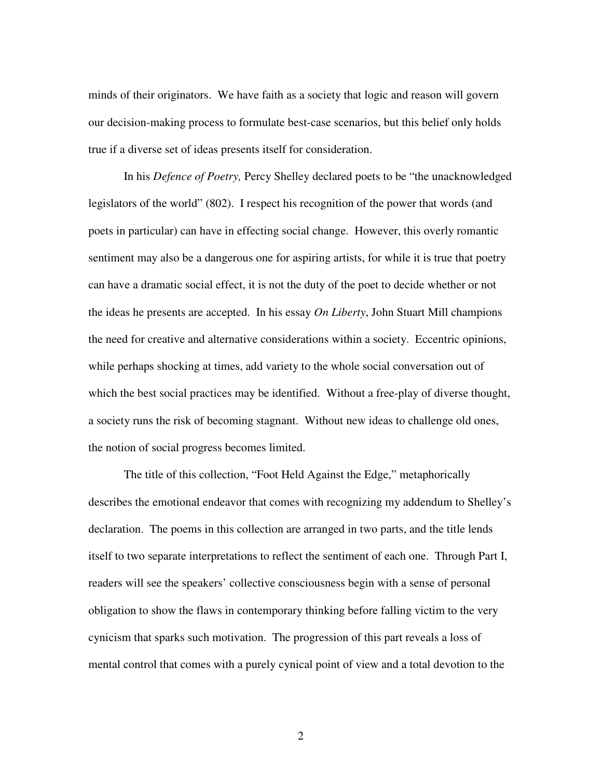minds of their originators. We have faith as a society that logic and reason will govern our decision-making process to formulate best-case scenarios, but this belief only holds true if a diverse set of ideas presents itself for consideration.

In his *Defence of Poetry,* Percy Shelley declared poets to be "the unacknowledged legislators of the world" (802). I respect his recognition of the power that words (and poets in particular) can have in effecting social change. However, this overly romantic sentiment may also be a dangerous one for aspiring artists, for while it is true that poetry can have a dramatic social effect, it is not the duty of the poet to decide whether or not the ideas he presents are accepted. In his essay *On Liberty*, John Stuart Mill champions the need for creative and alternative considerations within a society. Eccentric opinions, while perhaps shocking at times, add variety to the whole social conversation out of which the best social practices may be identified. Without a free-play of diverse thought, a society runs the risk of becoming stagnant. Without new ideas to challenge old ones, the notion of social progress becomes limited.

The title of this collection, "Foot Held Against the Edge," metaphorically describes the emotional endeavor that comes with recognizing my addendum to Shelley's declaration. The poems in this collection are arranged in two parts, and the title lends itself to two separate interpretations to reflect the sentiment of each one. Through Part I, readers will see the speakers' collective consciousness begin with a sense of personal obligation to show the flaws in contemporary thinking before falling victim to the very cynicism that sparks such motivation. The progression of this part reveals a loss of mental control that comes with a purely cynical point of view and a total devotion to the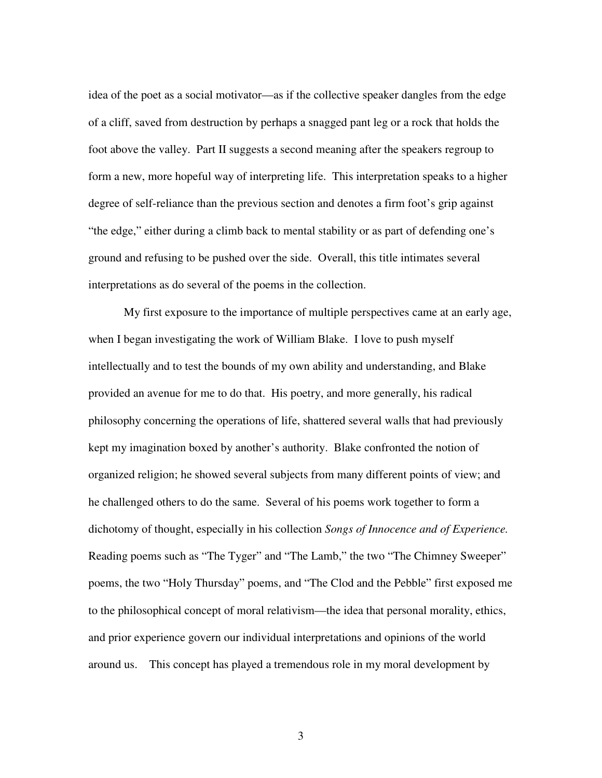idea of the poet as a social motivator—as if the collective speaker dangles from the edge of a cliff, saved from destruction by perhaps a snagged pant leg or a rock that holds the foot above the valley. Part II suggests a second meaning after the speakers regroup to form a new, more hopeful way of interpreting life. This interpretation speaks to a higher degree of self-reliance than the previous section and denotes a firm foot's grip against "the edge," either during a climb back to mental stability or as part of defending one's ground and refusing to be pushed over the side. Overall, this title intimates several interpretations as do several of the poems in the collection.

My first exposure to the importance of multiple perspectives came at an early age, when I began investigating the work of William Blake. I love to push myself intellectually and to test the bounds of my own ability and understanding, and Blake provided an avenue for me to do that. His poetry, and more generally, his radical philosophy concerning the operations of life, shattered several walls that had previously kept my imagination boxed by another's authority. Blake confronted the notion of organized religion; he showed several subjects from many different points of view; and he challenged others to do the same. Several of his poems work together to form a dichotomy of thought, especially in his collection *Songs of Innocence and of Experience.* Reading poems such as "The Tyger" and "The Lamb," the two "The Chimney Sweeper" poems, the two "Holy Thursday" poems, and "The Clod and the Pebble" first exposed me to the philosophical concept of moral relativism—the idea that personal morality, ethics, and prior experience govern our individual interpretations and opinions of the world around us. This concept has played a tremendous role in my moral development by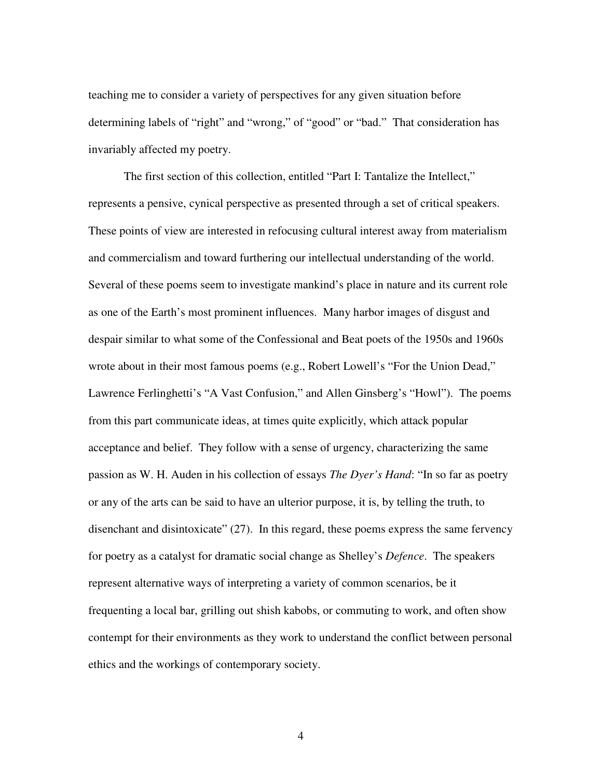teaching me to consider a variety of perspectives for any given situation before determining labels of "right" and "wrong," of "good" or "bad." That consideration has invariably affected my poetry.

The first section of this collection, entitled "Part I: Tantalize the Intellect," represents a pensive, cynical perspective as presented through a set of critical speakers. These points of view are interested in refocusing cultural interest away from materialism and commercialism and toward furthering our intellectual understanding of the world. Several of these poems seem to investigate mankind's place in nature and its current role as one of the Earth's most prominent influences. Many harbor images of disgust and despair similar to what some of the Confessional and Beat poets of the 1950s and 1960s wrote about in their most famous poems (e.g., Robert Lowell's "For the Union Dead," Lawrence Ferlinghetti's "A Vast Confusion," and Allen Ginsberg's "Howl"). The poems from this part communicate ideas, at times quite explicitly, which attack popular acceptance and belief. They follow with a sense of urgency, characterizing the same passion as W. H. Auden in his collection of essays *The Dyer's Hand*: "In so far as poetry or any of the arts can be said to have an ulterior purpose, it is, by telling the truth, to disenchant and disintoxicate" (27). In this regard, these poems express the same fervency for poetry as a catalyst for dramatic social change as Shelley's *Defence*. The speakers represent alternative ways of interpreting a variety of common scenarios, be it frequenting a local bar, grilling out shish kabobs, or commuting to work, and often show contempt for their environments as they work to understand the conflict between personal ethics and the workings of contemporary society.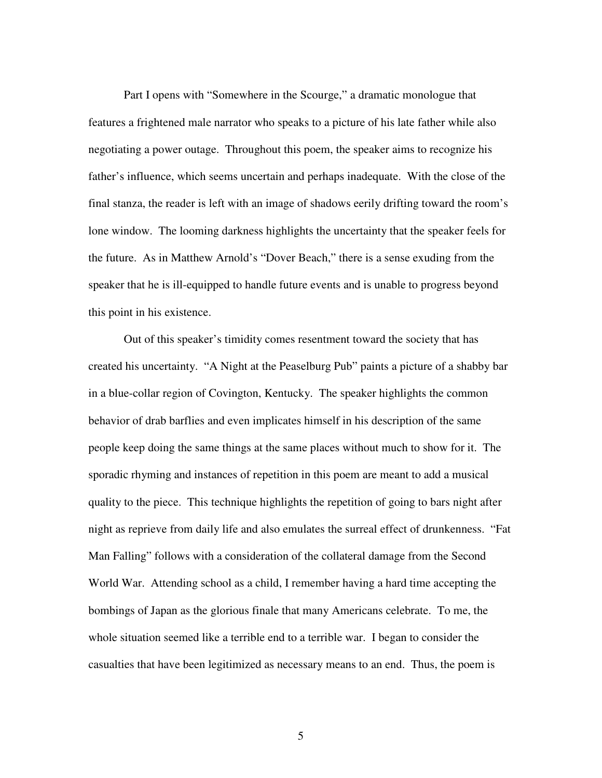Part I opens with "Somewhere in the Scourge," a dramatic monologue that features a frightened male narrator who speaks to a picture of his late father while also negotiating a power outage. Throughout this poem, the speaker aims to recognize his father's influence, which seems uncertain and perhaps inadequate. With the close of the final stanza, the reader is left with an image of shadows eerily drifting toward the room's lone window. The looming darkness highlights the uncertainty that the speaker feels for the future. As in Matthew Arnold's "Dover Beach," there is a sense exuding from the speaker that he is ill-equipped to handle future events and is unable to progress beyond this point in his existence.

Out of this speaker's timidity comes resentment toward the society that has created his uncertainty. "A Night at the Peaselburg Pub" paints a picture of a shabby bar in a blue-collar region of Covington, Kentucky. The speaker highlights the common behavior of drab barflies and even implicates himself in his description of the same people keep doing the same things at the same places without much to show for it. The sporadic rhyming and instances of repetition in this poem are meant to add a musical quality to the piece. This technique highlights the repetition of going to bars night after night as reprieve from daily life and also emulates the surreal effect of drunkenness. "Fat Man Falling" follows with a consideration of the collateral damage from the Second World War. Attending school as a child, I remember having a hard time accepting the bombings of Japan as the glorious finale that many Americans celebrate. To me, the whole situation seemed like a terrible end to a terrible war. I began to consider the casualties that have been legitimized as necessary means to an end. Thus, the poem is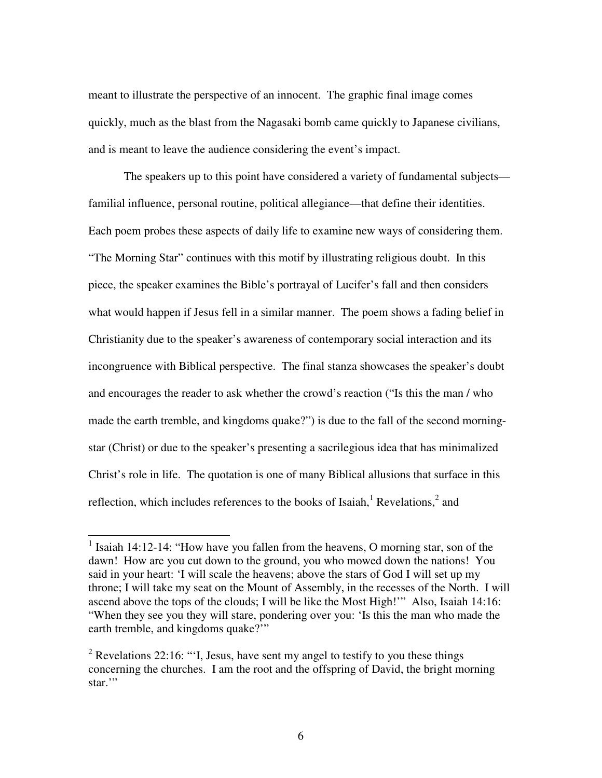meant to illustrate the perspective of an innocent. The graphic final image comes quickly, much as the blast from the Nagasaki bomb came quickly to Japanese civilians, and is meant to leave the audience considering the event's impact.

The speakers up to this point have considered a variety of fundamental subjects familial influence, personal routine, political allegiance—that define their identities. Each poem probes these aspects of daily life to examine new ways of considering them. "The Morning Star" continues with this motif by illustrating religious doubt. In this piece, the speaker examines the Bible's portrayal of Lucifer's fall and then considers what would happen if Jesus fell in a similar manner. The poem shows a fading belief in Christianity due to the speaker's awareness of contemporary social interaction and its incongruence with Biblical perspective. The final stanza showcases the speaker's doubt and encourages the reader to ask whether the crowd's reaction ("Is this the man / who made the earth tremble, and kingdoms quake?") is due to the fall of the second morningstar (Christ) or due to the speaker's presenting a sacrilegious idea that has minimalized Christ's role in life. The quotation is one of many Biblical allusions that surface in this reflection, which includes references to the books of Isaiah,  $^1$  Revelations,  $^2$  and

 $\overline{a}$ 

<sup>&</sup>lt;sup>1</sup> Isaiah 14:12-14: "How have you fallen from the heavens, O morning star, son of the dawn! How are you cut down to the ground, you who mowed down the nations! You said in your heart: 'I will scale the heavens; above the stars of God I will set up my throne; I will take my seat on the Mount of Assembly, in the recesses of the North. I will ascend above the tops of the clouds; I will be like the Most High!'" Also, Isaiah 14:16: "When they see you they will stare, pondering over you: 'Is this the man who made the earth tremble, and kingdoms quake?"

<sup>&</sup>lt;sup>2</sup> Revelations 22:16: "'I, Jesus, have sent my angel to testify to you these things concerning the churches. I am the root and the offspring of David, the bright morning star."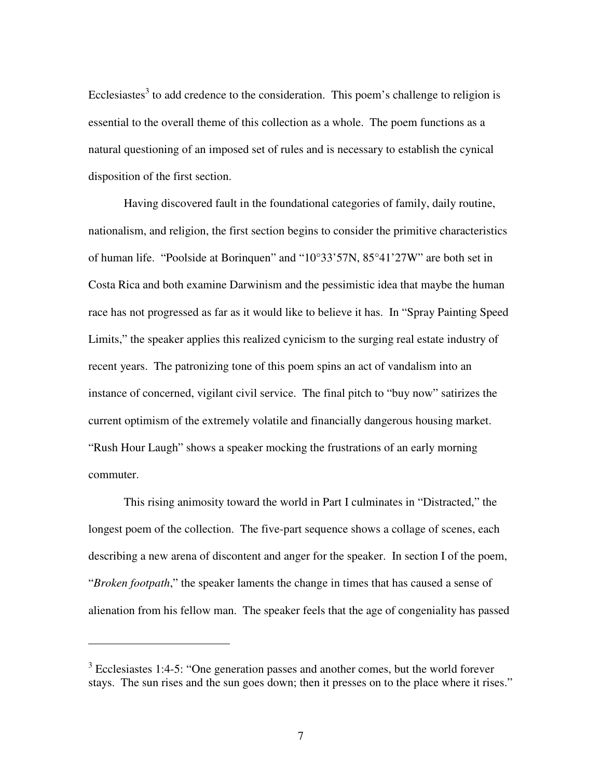Ecclesiastes<sup>3</sup> to add credence to the consideration. This poem's challenge to religion is essential to the overall theme of this collection as a whole. The poem functions as a natural questioning of an imposed set of rules and is necessary to establish the cynical disposition of the first section.

Having discovered fault in the foundational categories of family, daily routine, nationalism, and religion, the first section begins to consider the primitive characteristics of human life. "Poolside at Borinquen" and "10°33'57N, 85°41'27W" are both set in Costa Rica and both examine Darwinism and the pessimistic idea that maybe the human race has not progressed as far as it would like to believe it has. In "Spray Painting Speed Limits," the speaker applies this realized cynicism to the surging real estate industry of recent years. The patronizing tone of this poem spins an act of vandalism into an instance of concerned, vigilant civil service. The final pitch to "buy now" satirizes the current optimism of the extremely volatile and financially dangerous housing market. "Rush Hour Laugh" shows a speaker mocking the frustrations of an early morning commuter.

This rising animosity toward the world in Part I culminates in "Distracted," the longest poem of the collection. The five-part sequence shows a collage of scenes, each describing a new arena of discontent and anger for the speaker. In section I of the poem, "*Broken footpath*," the speaker laments the change in times that has caused a sense of alienation from his fellow man. The speaker feels that the age of congeniality has passed

 $\overline{a}$ 

 $3$  Ecclesiastes 1:4-5: "One generation passes and another comes, but the world forever stays. The sun rises and the sun goes down; then it presses on to the place where it rises."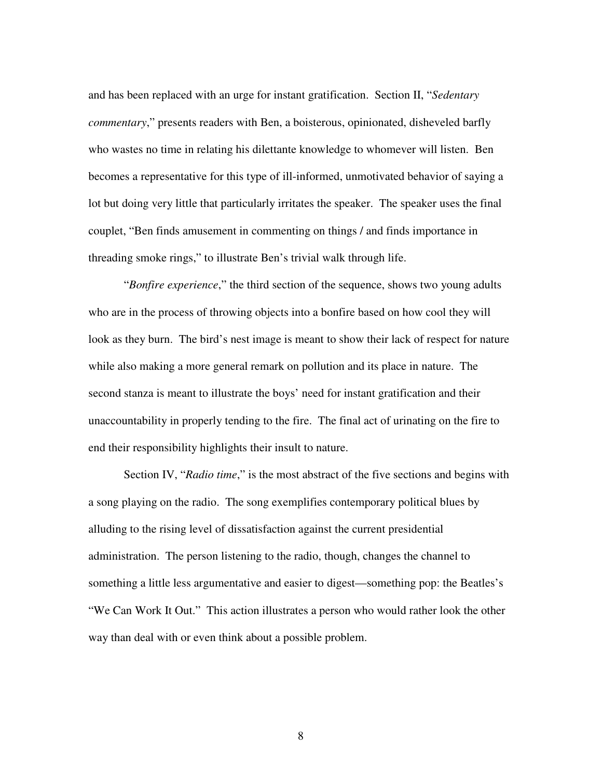and has been replaced with an urge for instant gratification. Section II, "*Sedentary commentary*," presents readers with Ben, a boisterous, opinionated, disheveled barfly who wastes no time in relating his dilettante knowledge to whomever will listen. Ben becomes a representative for this type of ill-informed, unmotivated behavior of saying a lot but doing very little that particularly irritates the speaker. The speaker uses the final couplet, "Ben finds amusement in commenting on things / and finds importance in threading smoke rings," to illustrate Ben's trivial walk through life.

"*Bonfire experience*," the third section of the sequence, shows two young adults who are in the process of throwing objects into a bonfire based on how cool they will look as they burn. The bird's nest image is meant to show their lack of respect for nature while also making a more general remark on pollution and its place in nature. The second stanza is meant to illustrate the boys' need for instant gratification and their unaccountability in properly tending to the fire. The final act of urinating on the fire to end their responsibility highlights their insult to nature.

Section IV, "*Radio time*," is the most abstract of the five sections and begins with a song playing on the radio. The song exemplifies contemporary political blues by alluding to the rising level of dissatisfaction against the current presidential administration. The person listening to the radio, though, changes the channel to something a little less argumentative and easier to digest—something pop: the Beatles's "We Can Work It Out." This action illustrates a person who would rather look the other way than deal with or even think about a possible problem.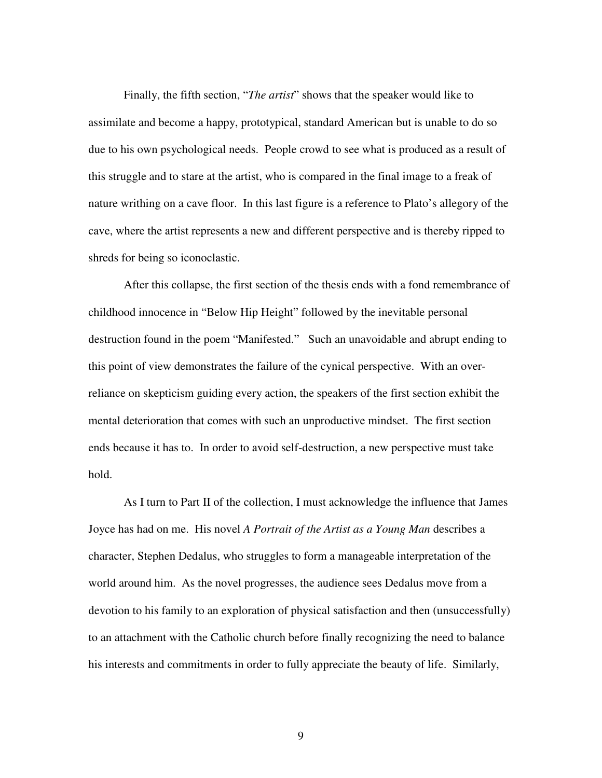Finally, the fifth section, "*The artist*" shows that the speaker would like to assimilate and become a happy, prototypical, standard American but is unable to do so due to his own psychological needs. People crowd to see what is produced as a result of this struggle and to stare at the artist, who is compared in the final image to a freak of nature writhing on a cave floor. In this last figure is a reference to Plato's allegory of the cave, where the artist represents a new and different perspective and is thereby ripped to shreds for being so iconoclastic.

After this collapse, the first section of the thesis ends with a fond remembrance of childhood innocence in "Below Hip Height" followed by the inevitable personal destruction found in the poem "Manifested." Such an unavoidable and abrupt ending to this point of view demonstrates the failure of the cynical perspective. With an overreliance on skepticism guiding every action, the speakers of the first section exhibit the mental deterioration that comes with such an unproductive mindset. The first section ends because it has to. In order to avoid self-destruction, a new perspective must take hold.

As I turn to Part II of the collection, I must acknowledge the influence that James Joyce has had on me. His novel *A Portrait of the Artist as a Young Man* describes a character, Stephen Dedalus, who struggles to form a manageable interpretation of the world around him. As the novel progresses, the audience sees Dedalus move from a devotion to his family to an exploration of physical satisfaction and then (unsuccessfully) to an attachment with the Catholic church before finally recognizing the need to balance his interests and commitments in order to fully appreciate the beauty of life. Similarly,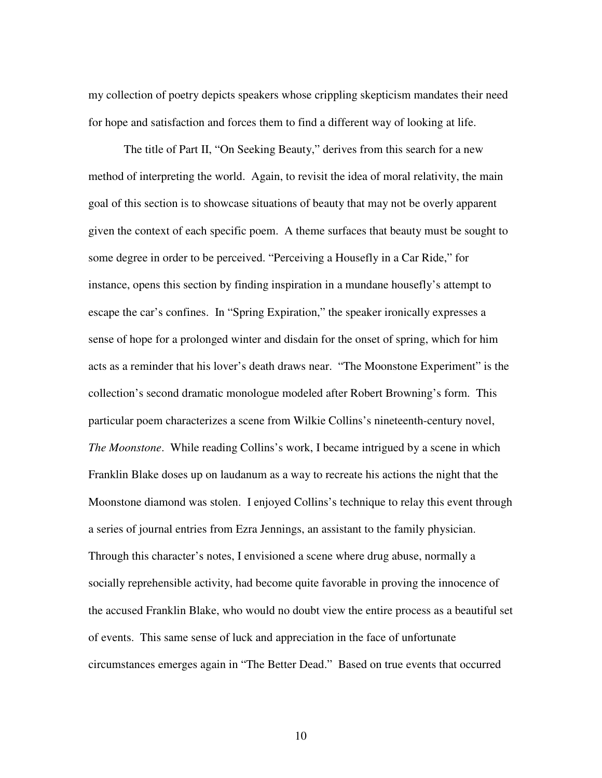my collection of poetry depicts speakers whose crippling skepticism mandates their need for hope and satisfaction and forces them to find a different way of looking at life.

The title of Part II, "On Seeking Beauty," derives from this search for a new method of interpreting the world. Again, to revisit the idea of moral relativity, the main goal of this section is to showcase situations of beauty that may not be overly apparent given the context of each specific poem. A theme surfaces that beauty must be sought to some degree in order to be perceived. "Perceiving a Housefly in a Car Ride," for instance, opens this section by finding inspiration in a mundane housefly's attempt to escape the car's confines. In "Spring Expiration," the speaker ironically expresses a sense of hope for a prolonged winter and disdain for the onset of spring, which for him acts as a reminder that his lover's death draws near. "The Moonstone Experiment" is the collection's second dramatic monologue modeled after Robert Browning's form. This particular poem characterizes a scene from Wilkie Collins's nineteenth-century novel, *The Moonstone*. While reading Collins's work, I became intrigued by a scene in which Franklin Blake doses up on laudanum as a way to recreate his actions the night that the Moonstone diamond was stolen. I enjoyed Collins's technique to relay this event through a series of journal entries from Ezra Jennings, an assistant to the family physician. Through this character's notes, I envisioned a scene where drug abuse, normally a socially reprehensible activity, had become quite favorable in proving the innocence of the accused Franklin Blake, who would no doubt view the entire process as a beautiful set of events. This same sense of luck and appreciation in the face of unfortunate circumstances emerges again in "The Better Dead." Based on true events that occurred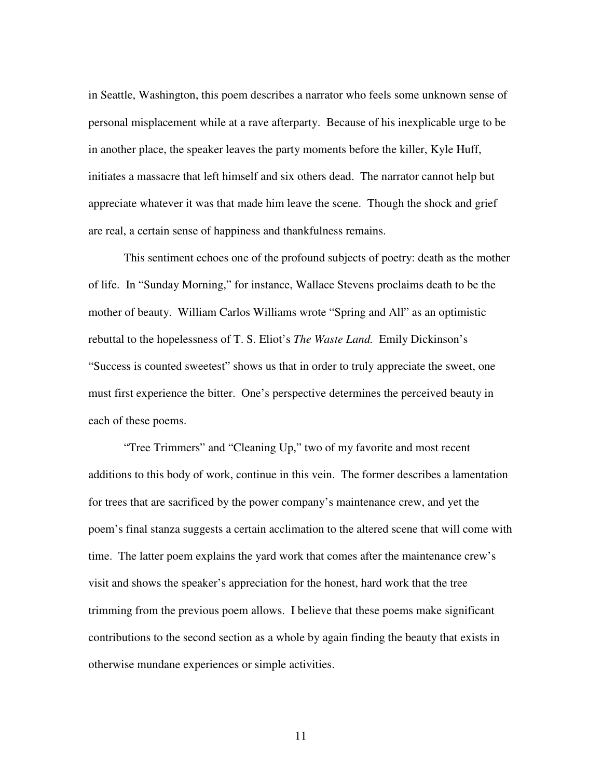in Seattle, Washington, this poem describes a narrator who feels some unknown sense of personal misplacement while at a rave afterparty. Because of his inexplicable urge to be in another place, the speaker leaves the party moments before the killer, Kyle Huff, initiates a massacre that left himself and six others dead. The narrator cannot help but appreciate whatever it was that made him leave the scene. Though the shock and grief are real, a certain sense of happiness and thankfulness remains.

This sentiment echoes one of the profound subjects of poetry: death as the mother of life. In "Sunday Morning," for instance, Wallace Stevens proclaims death to be the mother of beauty. William Carlos Williams wrote "Spring and All" as an optimistic rebuttal to the hopelessness of T. S. Eliot's *The Waste Land.* Emily Dickinson's "Success is counted sweetest" shows us that in order to truly appreciate the sweet, one must first experience the bitter. One's perspective determines the perceived beauty in each of these poems.

"Tree Trimmers" and "Cleaning Up," two of my favorite and most recent additions to this body of work, continue in this vein. The former describes a lamentation for trees that are sacrificed by the power company's maintenance crew, and yet the poem's final stanza suggests a certain acclimation to the altered scene that will come with time. The latter poem explains the yard work that comes after the maintenance crew's visit and shows the speaker's appreciation for the honest, hard work that the tree trimming from the previous poem allows. I believe that these poems make significant contributions to the second section as a whole by again finding the beauty that exists in otherwise mundane experiences or simple activities.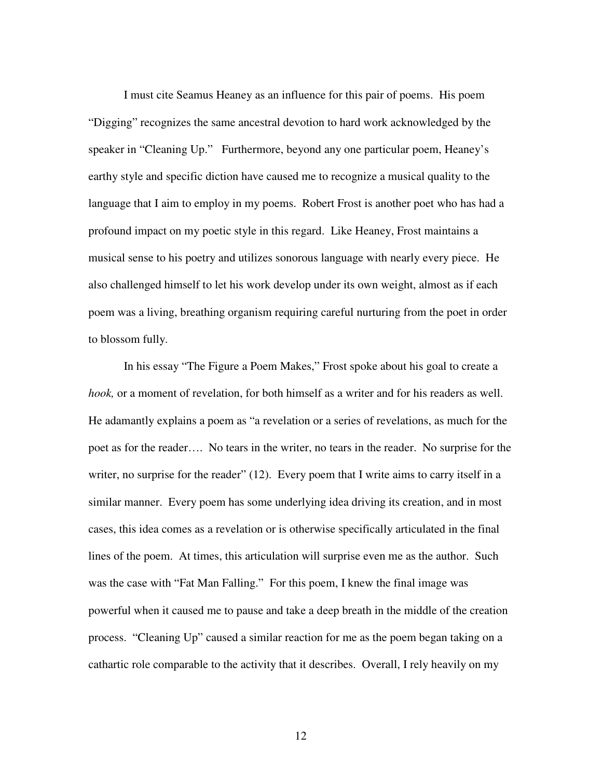I must cite Seamus Heaney as an influence for this pair of poems. His poem "Digging" recognizes the same ancestral devotion to hard work acknowledged by the speaker in "Cleaning Up." Furthermore, beyond any one particular poem, Heaney's earthy style and specific diction have caused me to recognize a musical quality to the language that I aim to employ in my poems. Robert Frost is another poet who has had a profound impact on my poetic style in this regard. Like Heaney, Frost maintains a musical sense to his poetry and utilizes sonorous language with nearly every piece. He also challenged himself to let his work develop under its own weight, almost as if each poem was a living, breathing organism requiring careful nurturing from the poet in order to blossom fully.

In his essay "The Figure a Poem Makes," Frost spoke about his goal to create a *hook,* or a moment of revelation, for both himself as a writer and for his readers as well. He adamantly explains a poem as "a revelation or a series of revelations, as much for the poet as for the reader…. No tears in the writer, no tears in the reader. No surprise for the writer, no surprise for the reader" (12). Every poem that I write aims to carry itself in a similar manner. Every poem has some underlying idea driving its creation, and in most cases, this idea comes as a revelation or is otherwise specifically articulated in the final lines of the poem. At times, this articulation will surprise even me as the author. Such was the case with "Fat Man Falling." For this poem, I knew the final image was powerful when it caused me to pause and take a deep breath in the middle of the creation process. "Cleaning Up" caused a similar reaction for me as the poem began taking on a cathartic role comparable to the activity that it describes. Overall, I rely heavily on my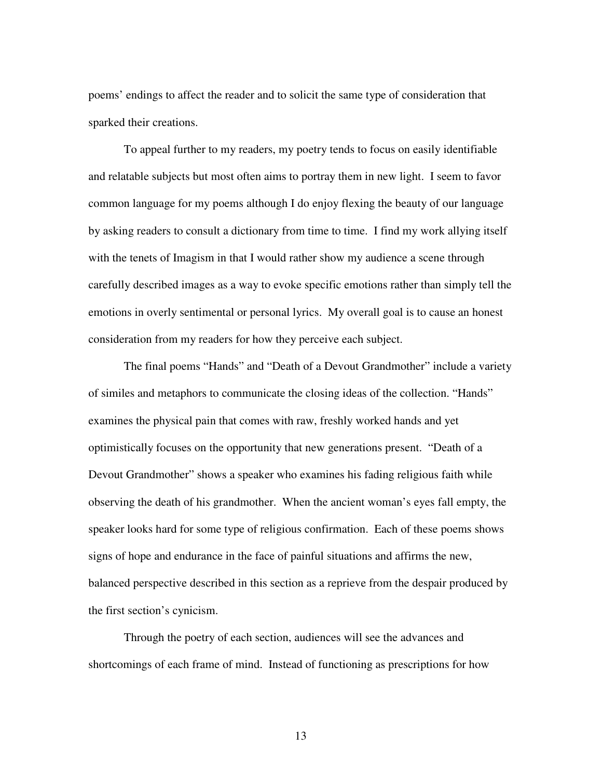poems' endings to affect the reader and to solicit the same type of consideration that sparked their creations.

To appeal further to my readers, my poetry tends to focus on easily identifiable and relatable subjects but most often aims to portray them in new light. I seem to favor common language for my poems although I do enjoy flexing the beauty of our language by asking readers to consult a dictionary from time to time. I find my work allying itself with the tenets of Imagism in that I would rather show my audience a scene through carefully described images as a way to evoke specific emotions rather than simply tell the emotions in overly sentimental or personal lyrics. My overall goal is to cause an honest consideration from my readers for how they perceive each subject.

The final poems "Hands" and "Death of a Devout Grandmother" include a variety of similes and metaphors to communicate the closing ideas of the collection. "Hands" examines the physical pain that comes with raw, freshly worked hands and yet optimistically focuses on the opportunity that new generations present. "Death of a Devout Grandmother" shows a speaker who examines his fading religious faith while observing the death of his grandmother. When the ancient woman's eyes fall empty, the speaker looks hard for some type of religious confirmation. Each of these poems shows signs of hope and endurance in the face of painful situations and affirms the new, balanced perspective described in this section as a reprieve from the despair produced by the first section's cynicism.

Through the poetry of each section, audiences will see the advances and shortcomings of each frame of mind. Instead of functioning as prescriptions for how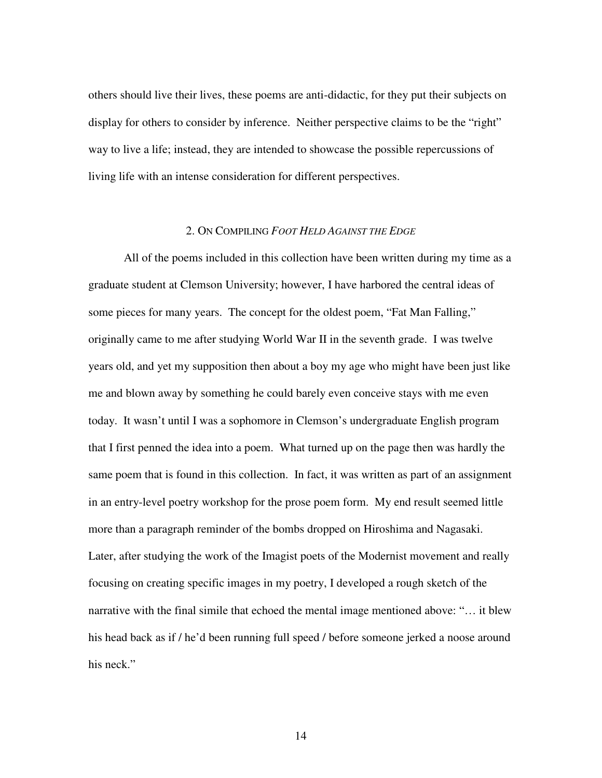others should live their lives, these poems are anti-didactic, for they put their subjects on display for others to consider by inference. Neither perspective claims to be the "right" way to live a life; instead, they are intended to showcase the possible repercussions of living life with an intense consideration for different perspectives.

#### 2. ON COMPILING *FOOT HELD AGAINST THE EDGE*

 All of the poems included in this collection have been written during my time as a graduate student at Clemson University; however, I have harbored the central ideas of some pieces for many years. The concept for the oldest poem, "Fat Man Falling," originally came to me after studying World War II in the seventh grade. I was twelve years old, and yet my supposition then about a boy my age who might have been just like me and blown away by something he could barely even conceive stays with me even today. It wasn't until I was a sophomore in Clemson's undergraduate English program that I first penned the idea into a poem. What turned up on the page then was hardly the same poem that is found in this collection. In fact, it was written as part of an assignment in an entry-level poetry workshop for the prose poem form. My end result seemed little more than a paragraph reminder of the bombs dropped on Hiroshima and Nagasaki. Later, after studying the work of the Imagist poets of the Modernist movement and really focusing on creating specific images in my poetry, I developed a rough sketch of the narrative with the final simile that echoed the mental image mentioned above: "… it blew his head back as if / he'd been running full speed / before someone jerked a noose around his neck."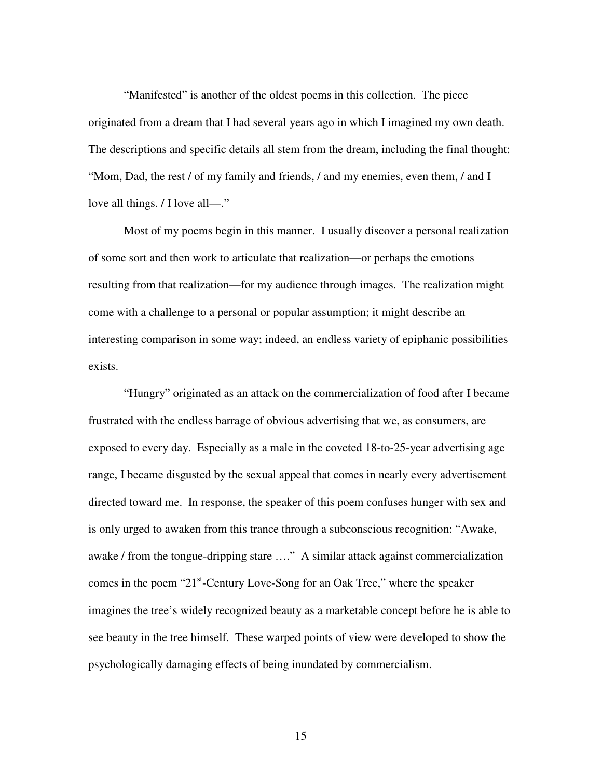"Manifested" is another of the oldest poems in this collection. The piece originated from a dream that I had several years ago in which I imagined my own death. The descriptions and specific details all stem from the dream, including the final thought: "Mom, Dad, the rest / of my family and friends, / and my enemies, even them, / and I love all things. / I love all—."

 Most of my poems begin in this manner. I usually discover a personal realization of some sort and then work to articulate that realization—or perhaps the emotions resulting from that realization—for my audience through images. The realization might come with a challenge to a personal or popular assumption; it might describe an interesting comparison in some way; indeed, an endless variety of epiphanic possibilities exists.

 "Hungry" originated as an attack on the commercialization of food after I became frustrated with the endless barrage of obvious advertising that we, as consumers, are exposed to every day. Especially as a male in the coveted 18-to-25-year advertising age range, I became disgusted by the sexual appeal that comes in nearly every advertisement directed toward me. In response, the speaker of this poem confuses hunger with sex and is only urged to awaken from this trance through a subconscious recognition: "Awake, awake / from the tongue-dripping stare …." A similar attack against commercialization comes in the poem "21<sup>st</sup>-Century Love-Song for an Oak Tree," where the speaker imagines the tree's widely recognized beauty as a marketable concept before he is able to see beauty in the tree himself. These warped points of view were developed to show the psychologically damaging effects of being inundated by commercialism.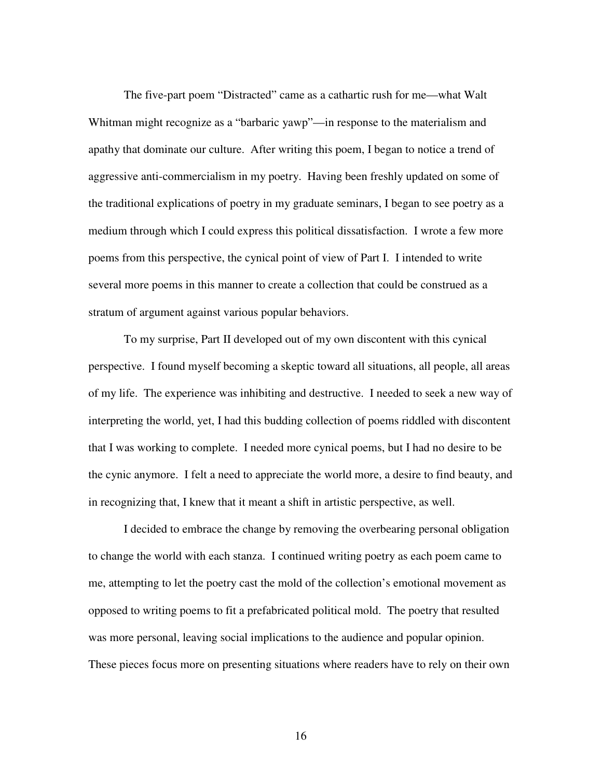The five-part poem "Distracted" came as a cathartic rush for me—what Walt Whitman might recognize as a "barbaric yawp"—in response to the materialism and apathy that dominate our culture. After writing this poem, I began to notice a trend of aggressive anti-commercialism in my poetry. Having been freshly updated on some of the traditional explications of poetry in my graduate seminars, I began to see poetry as a medium through which I could express this political dissatisfaction. I wrote a few more poems from this perspective, the cynical point of view of Part I. I intended to write several more poems in this manner to create a collection that could be construed as a stratum of argument against various popular behaviors.

To my surprise, Part II developed out of my own discontent with this cynical perspective. I found myself becoming a skeptic toward all situations, all people, all areas of my life. The experience was inhibiting and destructive. I needed to seek a new way of interpreting the world, yet, I had this budding collection of poems riddled with discontent that I was working to complete. I needed more cynical poems, but I had no desire to be the cynic anymore. I felt a need to appreciate the world more, a desire to find beauty, and in recognizing that, I knew that it meant a shift in artistic perspective, as well.

I decided to embrace the change by removing the overbearing personal obligation to change the world with each stanza. I continued writing poetry as each poem came to me, attempting to let the poetry cast the mold of the collection's emotional movement as opposed to writing poems to fit a prefabricated political mold. The poetry that resulted was more personal, leaving social implications to the audience and popular opinion. These pieces focus more on presenting situations where readers have to rely on their own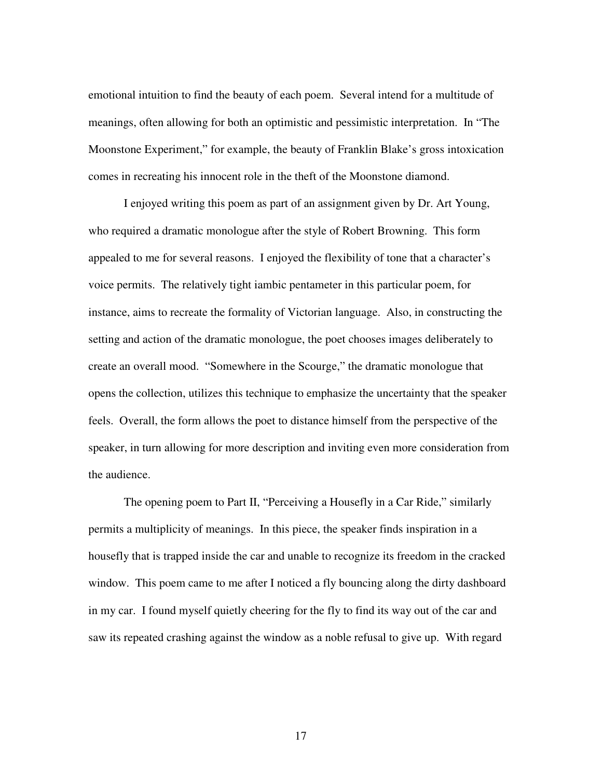emotional intuition to find the beauty of each poem. Several intend for a multitude of meanings, often allowing for both an optimistic and pessimistic interpretation. In "The Moonstone Experiment," for example, the beauty of Franklin Blake's gross intoxication comes in recreating his innocent role in the theft of the Moonstone diamond.

I enjoyed writing this poem as part of an assignment given by Dr. Art Young, who required a dramatic monologue after the style of Robert Browning. This form appealed to me for several reasons. I enjoyed the flexibility of tone that a character's voice permits. The relatively tight iambic pentameter in this particular poem, for instance, aims to recreate the formality of Victorian language. Also, in constructing the setting and action of the dramatic monologue, the poet chooses images deliberately to create an overall mood. "Somewhere in the Scourge," the dramatic monologue that opens the collection, utilizes this technique to emphasize the uncertainty that the speaker feels. Overall, the form allows the poet to distance himself from the perspective of the speaker, in turn allowing for more description and inviting even more consideration from the audience.

The opening poem to Part II, "Perceiving a Housefly in a Car Ride," similarly permits a multiplicity of meanings. In this piece, the speaker finds inspiration in a housefly that is trapped inside the car and unable to recognize its freedom in the cracked window. This poem came to me after I noticed a fly bouncing along the dirty dashboard in my car. I found myself quietly cheering for the fly to find its way out of the car and saw its repeated crashing against the window as a noble refusal to give up. With regard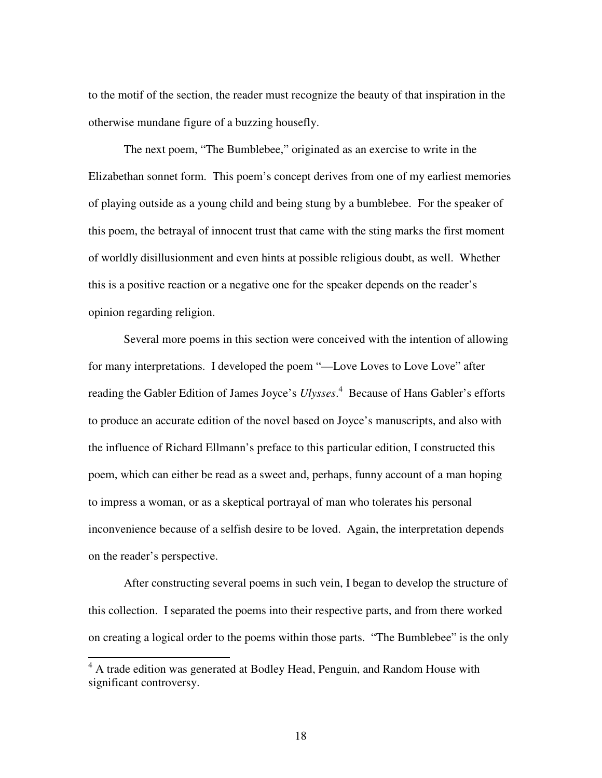to the motif of the section, the reader must recognize the beauty of that inspiration in the otherwise mundane figure of a buzzing housefly.

The next poem, "The Bumblebee," originated as an exercise to write in the Elizabethan sonnet form. This poem's concept derives from one of my earliest memories of playing outside as a young child and being stung by a bumblebee. For the speaker of this poem, the betrayal of innocent trust that came with the sting marks the first moment of worldly disillusionment and even hints at possible religious doubt, as well. Whether this is a positive reaction or a negative one for the speaker depends on the reader's opinion regarding religion.

Several more poems in this section were conceived with the intention of allowing for many interpretations. I developed the poem "—Love Loves to Love Love" after reading the Gabler Edition of James Joyce's *Ulysses*. 4 Because of Hans Gabler's efforts to produce an accurate edition of the novel based on Joyce's manuscripts, and also with the influence of Richard Ellmann's preface to this particular edition, I constructed this poem, which can either be read as a sweet and, perhaps, funny account of a man hoping to impress a woman, or as a skeptical portrayal of man who tolerates his personal inconvenience because of a selfish desire to be loved. Again, the interpretation depends on the reader's perspective.

After constructing several poems in such vein, I began to develop the structure of this collection. I separated the poems into their respective parts, and from there worked on creating a logical order to the poems within those parts. "The Bumblebee" is the only

 $\overline{a}$ 

<sup>&</sup>lt;sup>4</sup> A trade edition was generated at Bodley Head, Penguin, and Random House with significant controversy.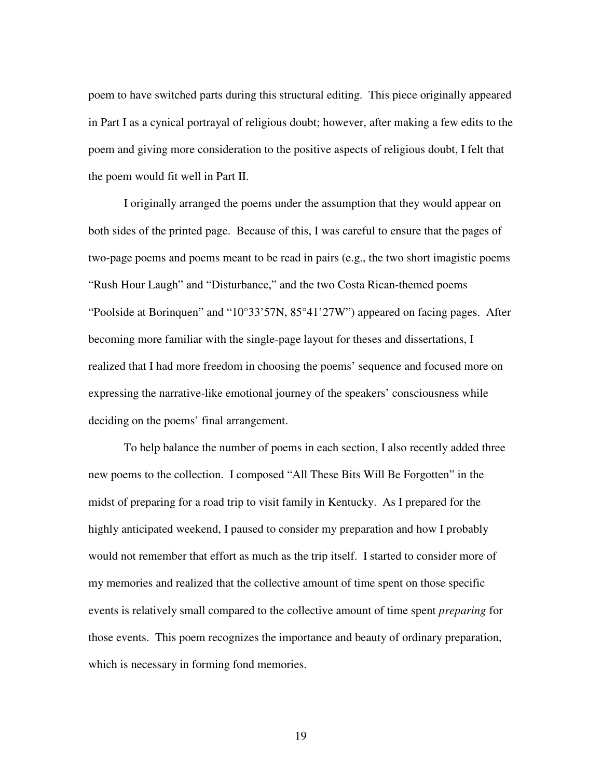poem to have switched parts during this structural editing. This piece originally appeared in Part I as a cynical portrayal of religious doubt; however, after making a few edits to the poem and giving more consideration to the positive aspects of religious doubt, I felt that the poem would fit well in Part II.

I originally arranged the poems under the assumption that they would appear on both sides of the printed page. Because of this, I was careful to ensure that the pages of two-page poems and poems meant to be read in pairs (e.g., the two short imagistic poems "Rush Hour Laugh" and "Disturbance," and the two Costa Rican-themed poems "Poolside at Borinquen" and "10°33'57N, 85°41'27W") appeared on facing pages. After becoming more familiar with the single-page layout for theses and dissertations, I realized that I had more freedom in choosing the poems' sequence and focused more on expressing the narrative-like emotional journey of the speakers' consciousness while deciding on the poems' final arrangement.

To help balance the number of poems in each section, I also recently added three new poems to the collection. I composed "All These Bits Will Be Forgotten" in the midst of preparing for a road trip to visit family in Kentucky. As I prepared for the highly anticipated weekend, I paused to consider my preparation and how I probably would not remember that effort as much as the trip itself. I started to consider more of my memories and realized that the collective amount of time spent on those specific events is relatively small compared to the collective amount of time spent *preparing* for those events. This poem recognizes the importance and beauty of ordinary preparation, which is necessary in forming fond memories.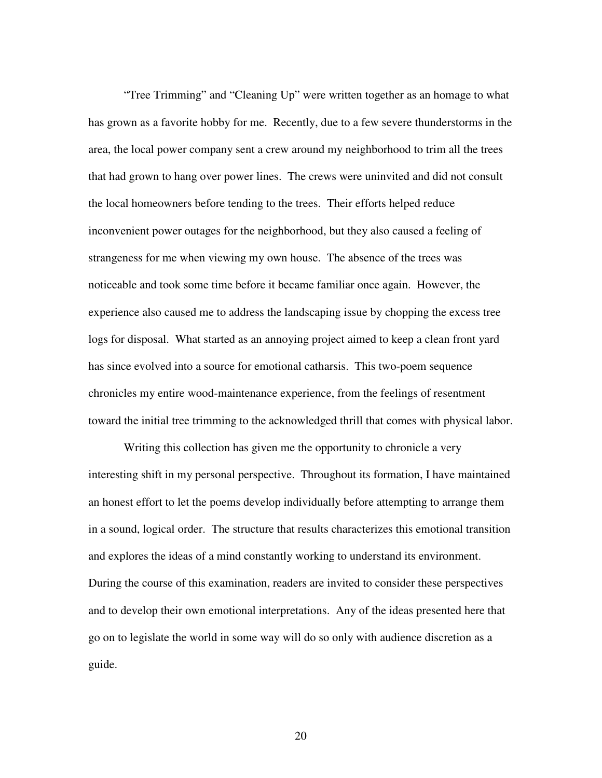"Tree Trimming" and "Cleaning Up" were written together as an homage to what has grown as a favorite hobby for me. Recently, due to a few severe thunderstorms in the area, the local power company sent a crew around my neighborhood to trim all the trees that had grown to hang over power lines. The crews were uninvited and did not consult the local homeowners before tending to the trees. Their efforts helped reduce inconvenient power outages for the neighborhood, but they also caused a feeling of strangeness for me when viewing my own house. The absence of the trees was noticeable and took some time before it became familiar once again. However, the experience also caused me to address the landscaping issue by chopping the excess tree logs for disposal. What started as an annoying project aimed to keep a clean front yard has since evolved into a source for emotional catharsis. This two-poem sequence chronicles my entire wood-maintenance experience, from the feelings of resentment toward the initial tree trimming to the acknowledged thrill that comes with physical labor.

Writing this collection has given me the opportunity to chronicle a very interesting shift in my personal perspective. Throughout its formation, I have maintained an honest effort to let the poems develop individually before attempting to arrange them in a sound, logical order. The structure that results characterizes this emotional transition and explores the ideas of a mind constantly working to understand its environment. During the course of this examination, readers are invited to consider these perspectives and to develop their own emotional interpretations. Any of the ideas presented here that go on to legislate the world in some way will do so only with audience discretion as a guide.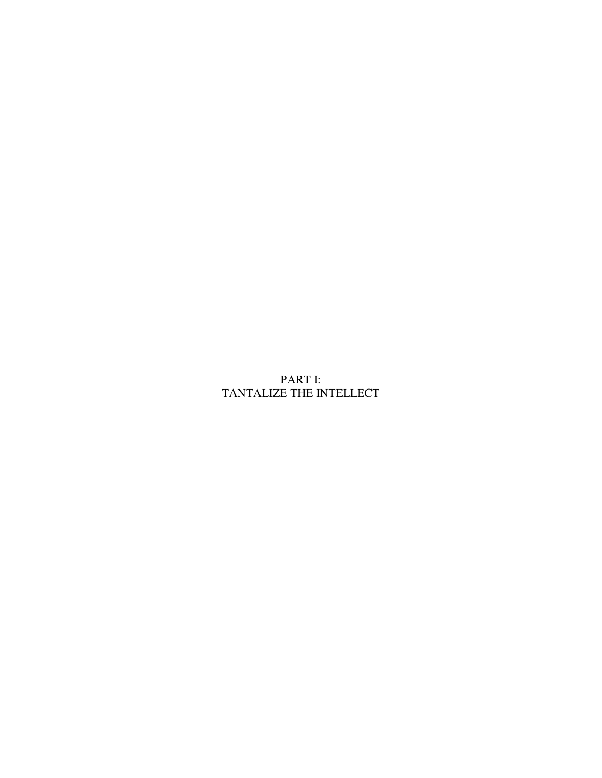# PART I: TANTALIZE THE INTELLECT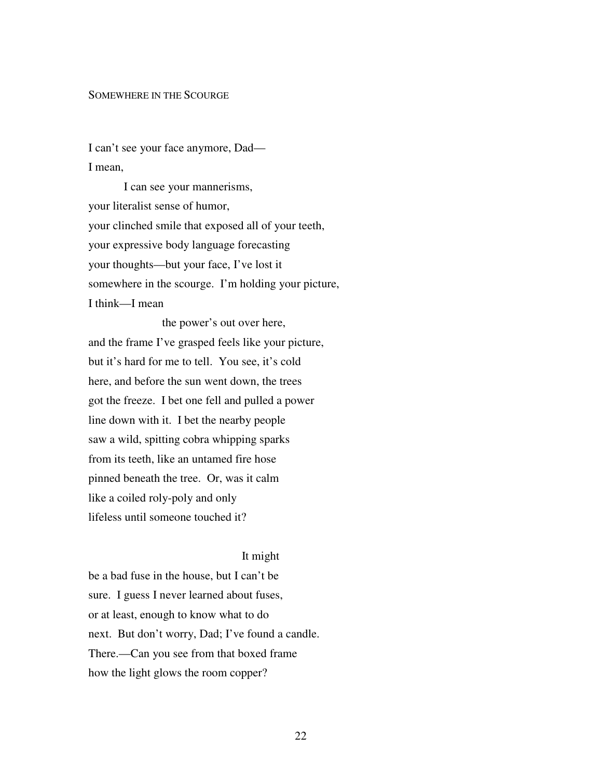# SOMEWHERE IN THE SCOURGE

I can't see your face anymore, Dad— I mean,

 I can see your mannerisms, your literalist sense of humor, your clinched smile that exposed all of your teeth, your expressive body language forecasting your thoughts—but your face, I've lost it somewhere in the scourge. I'm holding your picture, I think—I mean

 the power's out over here, and the frame I've grasped feels like your picture, but it's hard for me to tell. You see, it's cold here, and before the sun went down, the trees got the freeze. I bet one fell and pulled a power line down with it. I bet the nearby people saw a wild, spitting cobra whipping sparks from its teeth, like an untamed fire hose pinned beneath the tree. Or, was it calm like a coiled roly-poly and only lifeless until someone touched it?

#### It might

be a bad fuse in the house, but I can't be sure. I guess I never learned about fuses, or at least, enough to know what to do next. But don't worry, Dad; I've found a candle. There.—Can you see from that boxed frame how the light glows the room copper?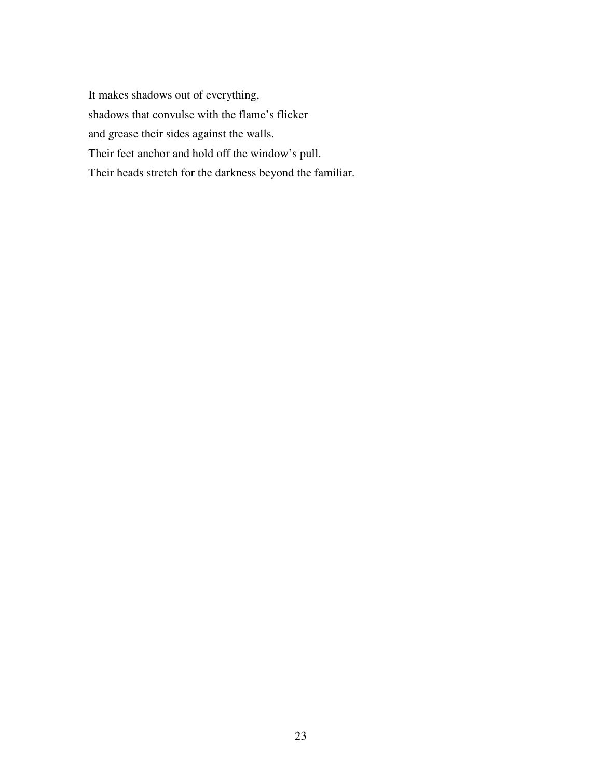It makes shadows out of everything, shadows that convulse with the flame's flicker and grease their sides against the walls. Their feet anchor and hold off the window's pull. Their heads stretch for the darkness beyond the familiar.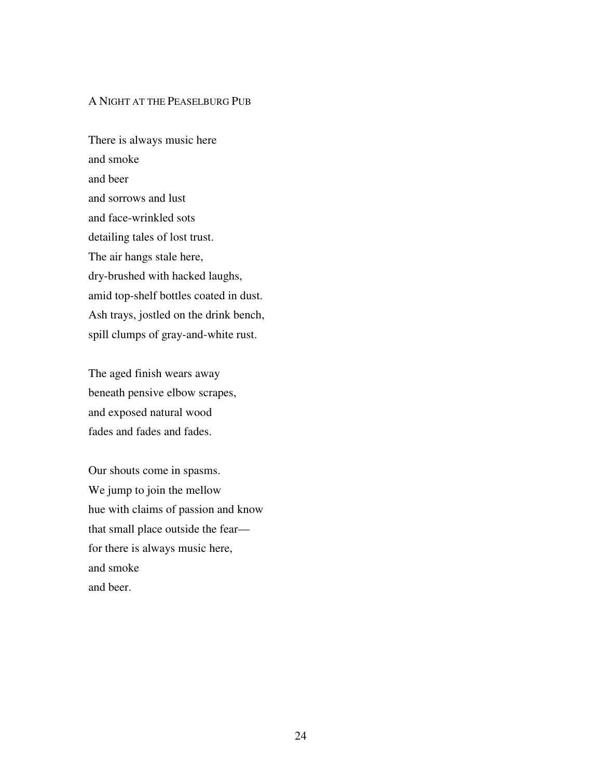### A NIGHT AT THE PEASELBURG PUB

There is always music here and smoke and beer and sorrows and lust and face-wrinkled sots detailing tales of lost trust. The air hangs stale here, dry-brushed with hacked laughs, amid top-shelf bottles coated in dust. Ash trays, jostled on the drink bench, spill clumps of gray-and-white rust.

The aged finish wears away beneath pensive elbow scrapes, and exposed natural wood fades and fades and fades.

Our shouts come in spasms. We jump to join the mellow hue with claims of passion and know that small place outside the fear for there is always music here, and smoke and beer.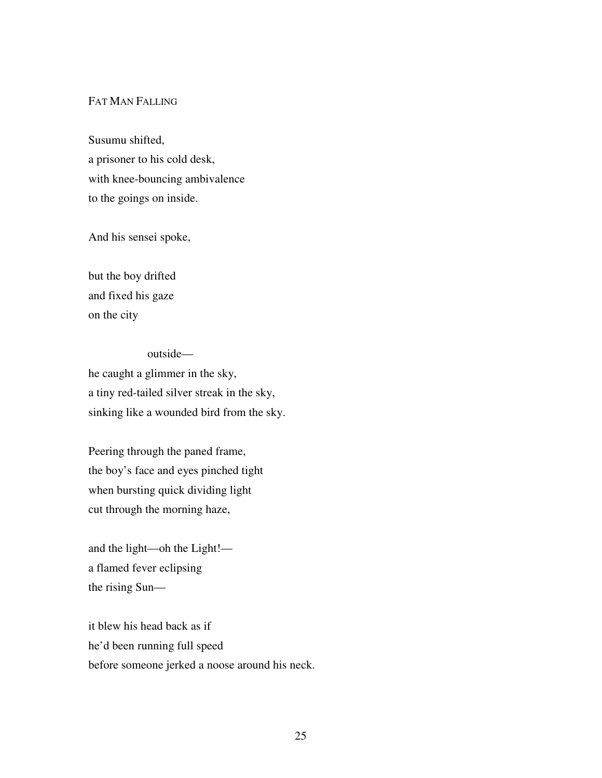# FAT MAN FALLING

Susumu shifted, a prisoner to his cold desk, with knee-bouncing ambivalence to the goings on inside.

And his sensei spoke,

but the boy drifted and fixed his gaze on the city

 outside he caught a glimmer in the sky, a tiny red-tailed silver streak in the sky, sinking like a wounded bird from the sky.

Peering through the paned frame, the boy's face and eyes pinched tight when bursting quick dividing light cut through the morning haze,

and the light—oh the Light! a flamed fever eclipsing the rising Sun—

it blew his head back as if he'd been running full speed before someone jerked a noose around his neck.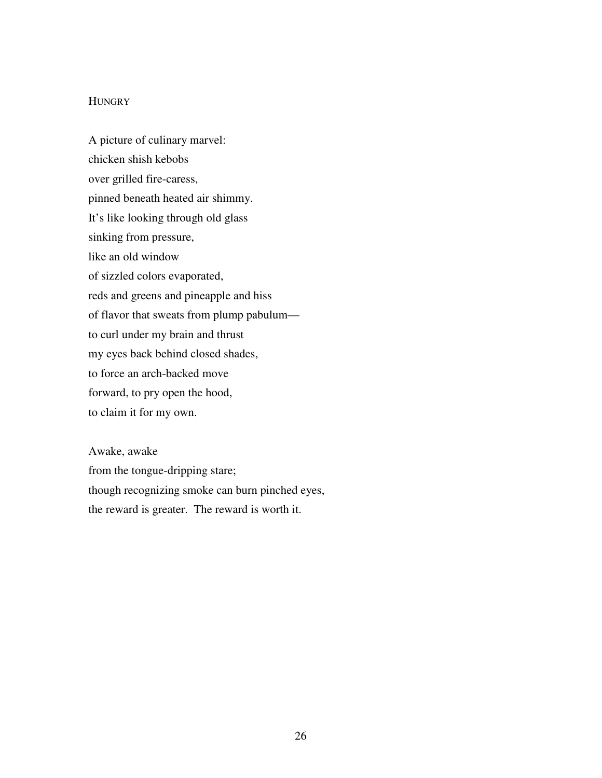### **HUNGRY**

A picture of culinary marvel: chicken shish kebobs over grilled fire-caress, pinned beneath heated air shimmy. It's like looking through old glass sinking from pressure, like an old window of sizzled colors evaporated, reds and greens and pineapple and hiss of flavor that sweats from plump pabulum to curl under my brain and thrust my eyes back behind closed shades, to force an arch-backed move forward, to pry open the hood, to claim it for my own.

Awake, awake from the tongue-dripping stare; though recognizing smoke can burn pinched eyes, the reward is greater. The reward is worth it.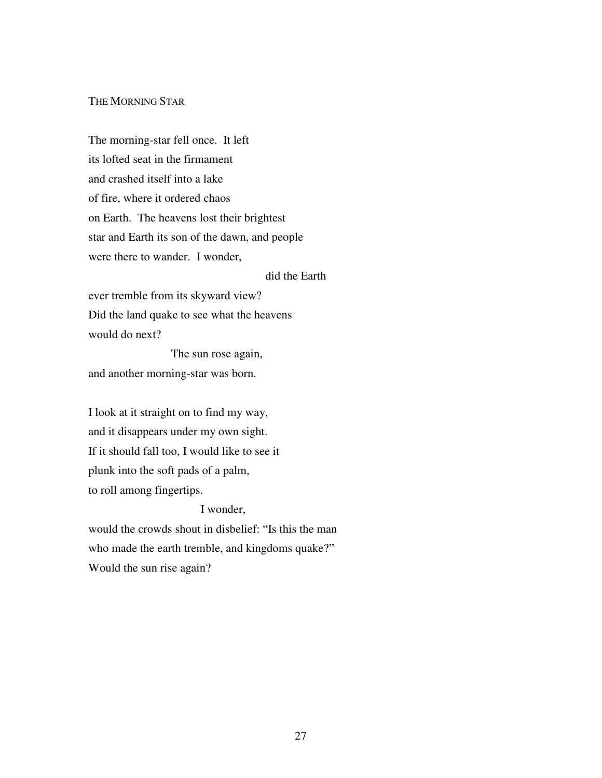# THE MORNING STAR

The morning-star fell once. It left its lofted seat in the firmament and crashed itself into a lake of fire, where it ordered chaos on Earth. The heavens lost their brightest star and Earth its son of the dawn, and people were there to wander. I wonder,

did the Earth

ever tremble from its skyward view? Did the land quake to see what the heavens would do next?

 The sun rose again, and another morning-star was born.

I look at it straight on to find my way, and it disappears under my own sight. If it should fall too, I would like to see it plunk into the soft pads of a palm, to roll among fingertips.

### I wonder,

would the crowds shout in disbelief: "Is this the man who made the earth tremble, and kingdoms quake?" Would the sun rise again?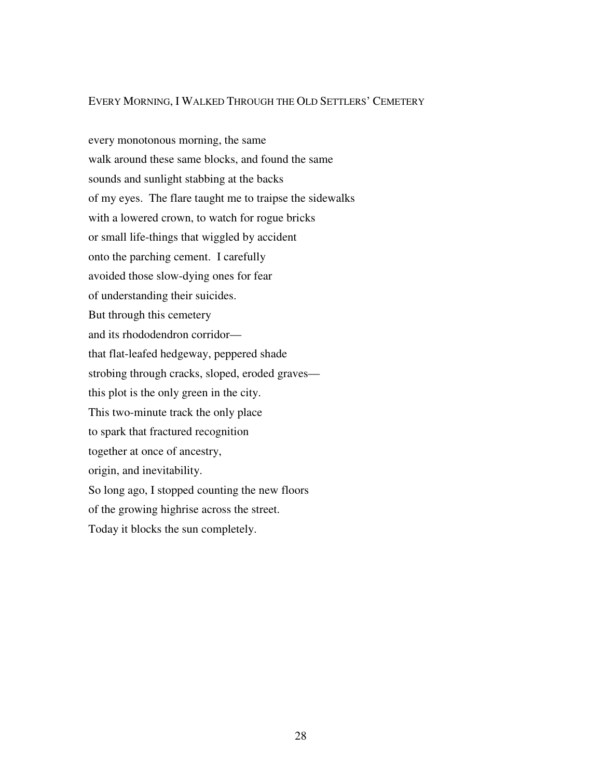#### EVERY MORNING, I WALKED THROUGH THE OLD SETTLERS' CEMETERY

every monotonous morning, the same walk around these same blocks, and found the same sounds and sunlight stabbing at the backs of my eyes. The flare taught me to traipse the sidewalks with a lowered crown, to watch for rogue bricks or small life-things that wiggled by accident onto the parching cement. I carefully avoided those slow-dying ones for fear of understanding their suicides. But through this cemetery and its rhododendron corridor that flat-leafed hedgeway, peppered shade strobing through cracks, sloped, eroded graves this plot is the only green in the city. This two-minute track the only place to spark that fractured recognition together at once of ancestry, origin, and inevitability. So long ago, I stopped counting the new floors of the growing highrise across the street. Today it blocks the sun completely.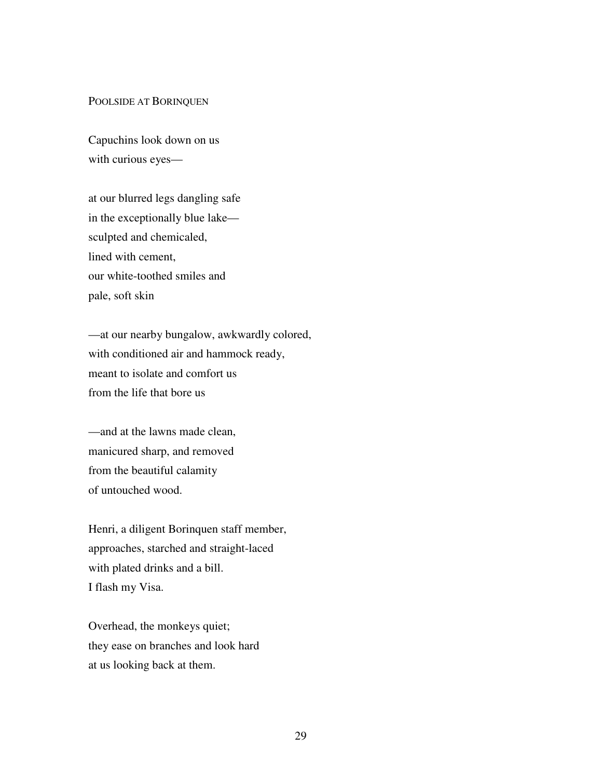#### POOLSIDE AT BORINQUEN

Capuchins look down on us with curious eyes—

at our blurred legs dangling safe in the exceptionally blue lake sculpted and chemicaled, lined with cement, our white-toothed smiles and pale, soft skin

—at our nearby bungalow, awkwardly colored, with conditioned air and hammock ready, meant to isolate and comfort us from the life that bore us

—and at the lawns made clean, manicured sharp, and removed from the beautiful calamity of untouched wood.

Henri, a diligent Borinquen staff member, approaches, starched and straight-laced with plated drinks and a bill. I flash my Visa.

Overhead, the monkeys quiet; they ease on branches and look hard at us looking back at them.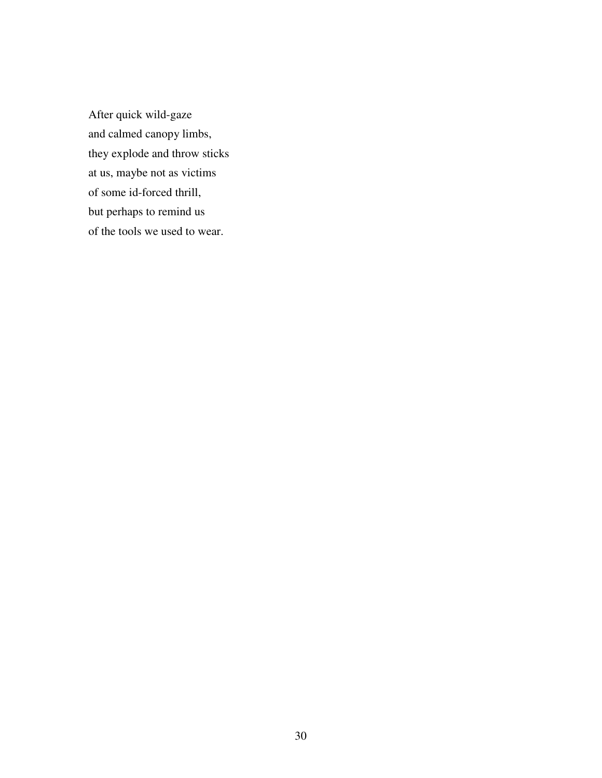After quick wild-gaze and calmed canopy limbs, they explode and throw sticks at us, maybe not as victims of some id-forced thrill, but perhaps to remind us of the tools we used to wear.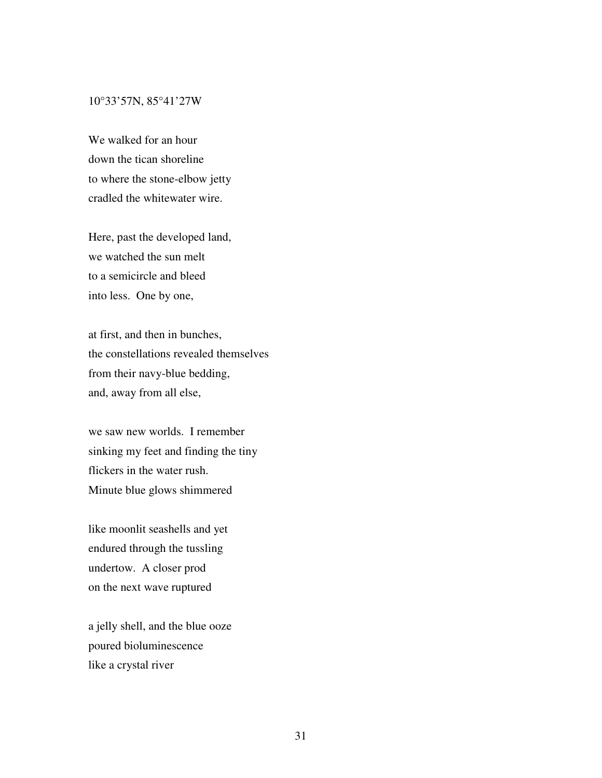#### 10°33'57N, 85°41'27W

We walked for an hour down the tican shoreline to where the stone-elbow jetty cradled the whitewater wire.

Here, past the developed land, we watched the sun melt to a semicircle and bleed into less. One by one,

at first, and then in bunches, the constellations revealed themselves from their navy-blue bedding, and, away from all else,

we saw new worlds. I remember sinking my feet and finding the tiny flickers in the water rush. Minute blue glows shimmered

like moonlit seashells and yet endured through the tussling undertow. A closer prod on the next wave ruptured

a jelly shell, and the blue ooze poured bioluminescence like a crystal river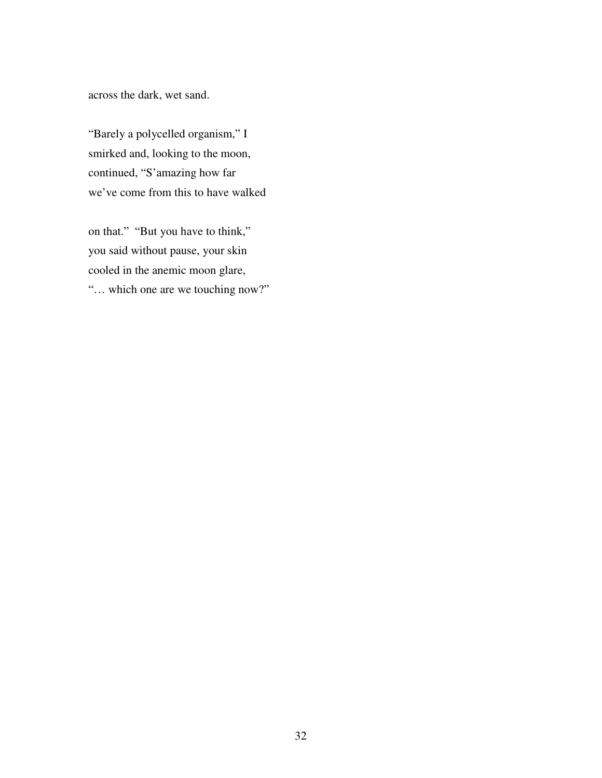across the dark, wet sand.

"Barely a polycelled organism," I smirked and, looking to the moon, continued, "S'amazing how far we've come from this to have walked

on that." "But you have to think," you said without pause, your skin cooled in the anemic moon glare, "… which one are we touching now?"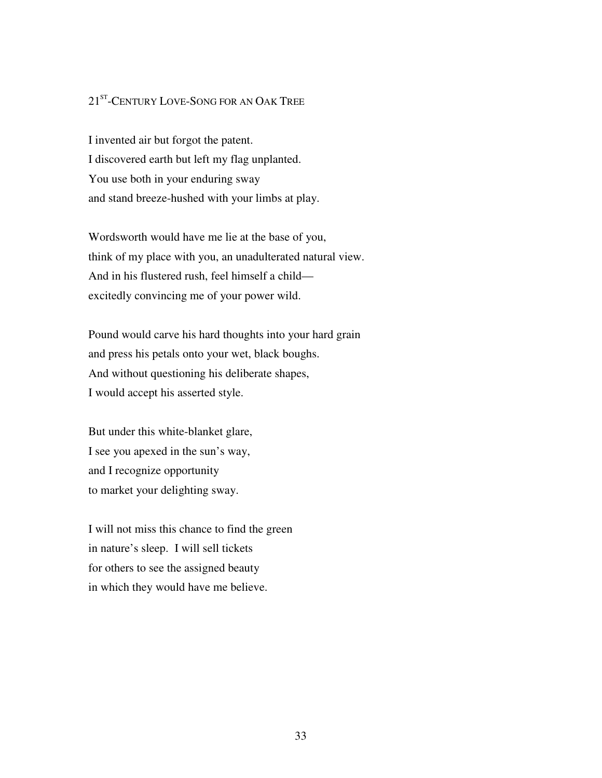# 21<sup>ST</sup>-CENTURY LOVE-SONG FOR AN OAK TREE

I invented air but forgot the patent. I discovered earth but left my flag unplanted. You use both in your enduring sway and stand breeze-hushed with your limbs at play.

Wordsworth would have me lie at the base of you, think of my place with you, an unadulterated natural view. And in his flustered rush, feel himself a child excitedly convincing me of your power wild.

Pound would carve his hard thoughts into your hard grain and press his petals onto your wet, black boughs. And without questioning his deliberate shapes, I would accept his asserted style.

But under this white-blanket glare, I see you apexed in the sun's way, and I recognize opportunity to market your delighting sway.

I will not miss this chance to find the green in nature's sleep. I will sell tickets for others to see the assigned beauty in which they would have me believe.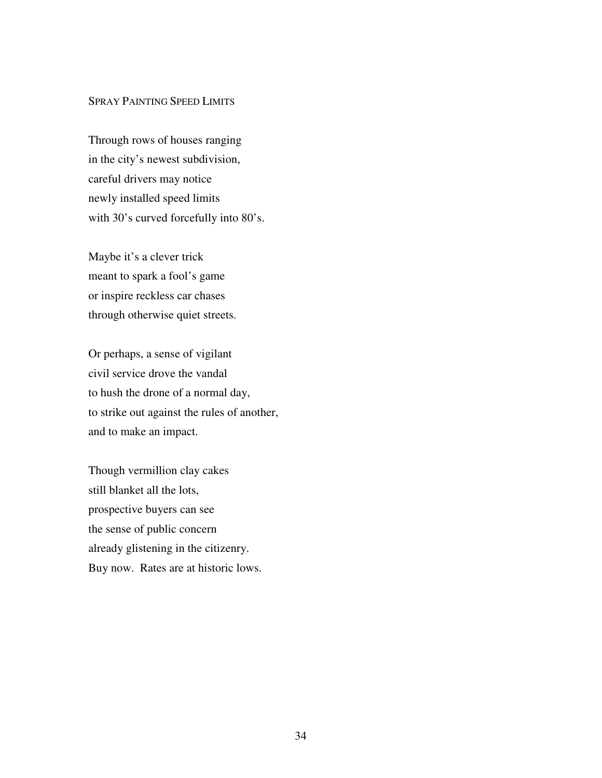### SPRAY PAINTING SPEED LIMITS

Through rows of houses ranging in the city's newest subdivision, careful drivers may notice newly installed speed limits with 30's curved forcefully into 80's.

Maybe it's a clever trick meant to spark a fool's game or inspire reckless car chases through otherwise quiet streets.

Or perhaps, a sense of vigilant civil service drove the vandal to hush the drone of a normal day, to strike out against the rules of another, and to make an impact.

Though vermillion clay cakes still blanket all the lots, prospective buyers can see the sense of public concern already glistening in the citizenry. Buy now. Rates are at historic lows.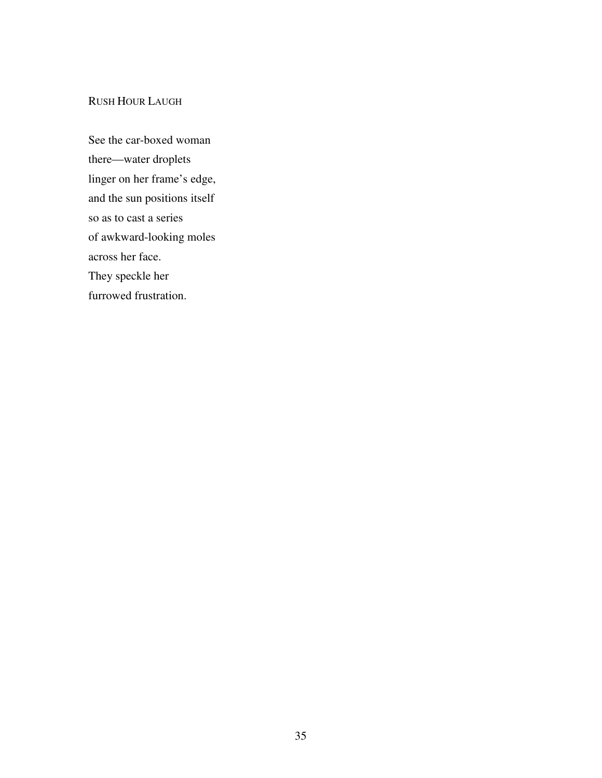# RUSH HOUR LAUGH

See the car-boxed woman there—water droplets linger on her frame's edge, and the sun positions itself so as to cast a series of awkward-looking moles across her face. They speckle her furrowed frustration.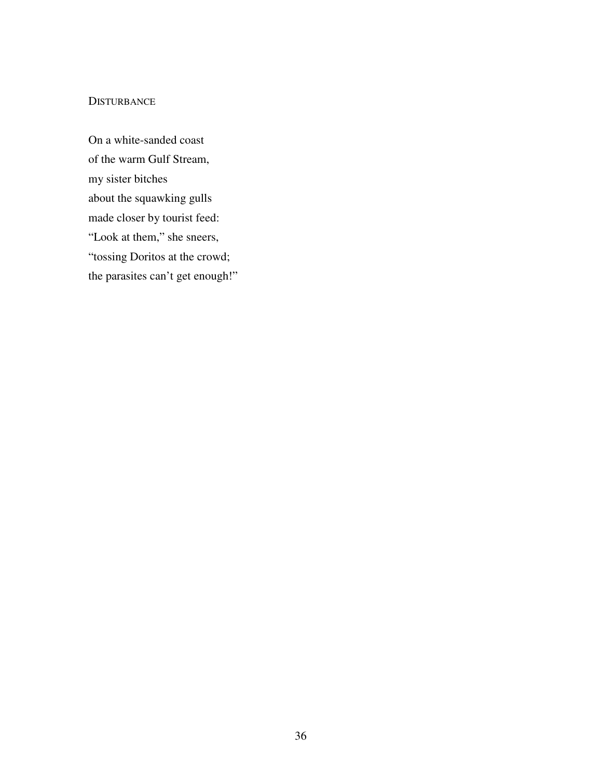#### **DISTURBANCE**

On a white-sanded coast of the warm Gulf Stream, my sister bitches about the squawking gulls made closer by tourist feed: "Look at them," she sneers, "tossing Doritos at the crowd; the parasites can't get enough!"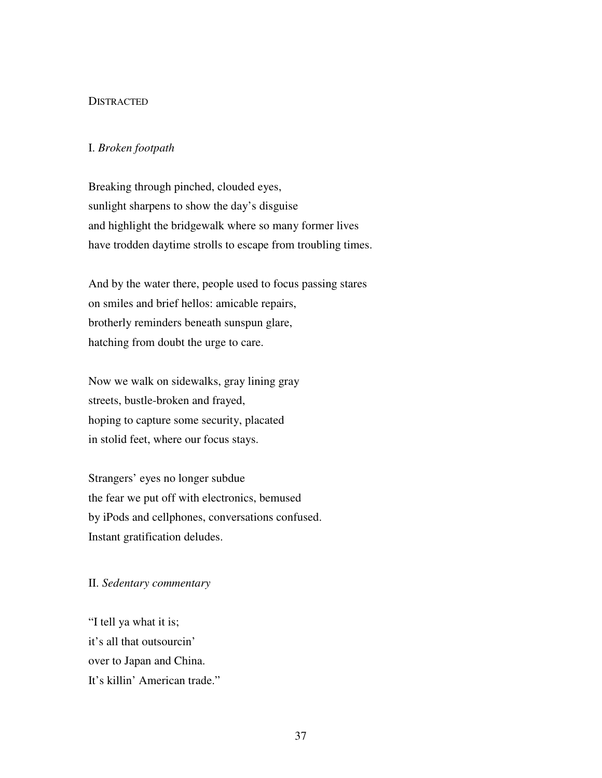#### **DISTRACTED**

### I. *Broken footpath*

Breaking through pinched, clouded eyes, sunlight sharpens to show the day's disguise and highlight the bridgewalk where so many former lives have trodden daytime strolls to escape from troubling times.

And by the water there, people used to focus passing stares on smiles and brief hellos: amicable repairs, brotherly reminders beneath sunspun glare, hatching from doubt the urge to care.

Now we walk on sidewalks, gray lining gray streets, bustle-broken and frayed, hoping to capture some security, placated in stolid feet, where our focus stays.

Strangers' eyes no longer subdue the fear we put off with electronics, bemused by iPods and cellphones, conversations confused. Instant gratification deludes.

### II. *Sedentary commentary*

"I tell ya what it is; it's all that outsourcin' over to Japan and China. It's killin' American trade."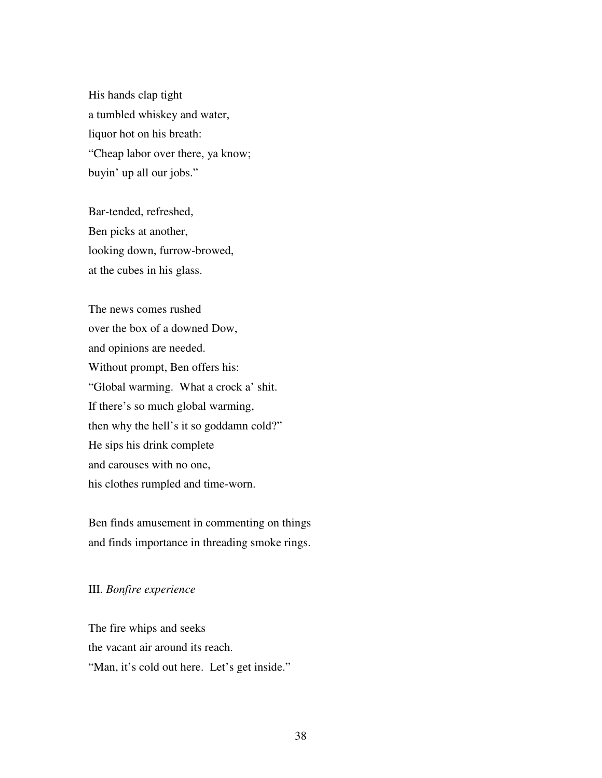His hands clap tight a tumbled whiskey and water, liquor hot on his breath: "Cheap labor over there, ya know; buyin' up all our jobs."

Bar-tended, refreshed, Ben picks at another, looking down, furrow-browed, at the cubes in his glass.

The news comes rushed over the box of a downed Dow, and opinions are needed. Without prompt, Ben offers his: "Global warming. What a crock a' shit. If there's so much global warming, then why the hell's it so goddamn cold?" He sips his drink complete and carouses with no one, his clothes rumpled and time-worn.

Ben finds amusement in commenting on things and finds importance in threading smoke rings.

### III. *Bonfire experience*

The fire whips and seeks the vacant air around its reach. "Man, it's cold out here. Let's get inside."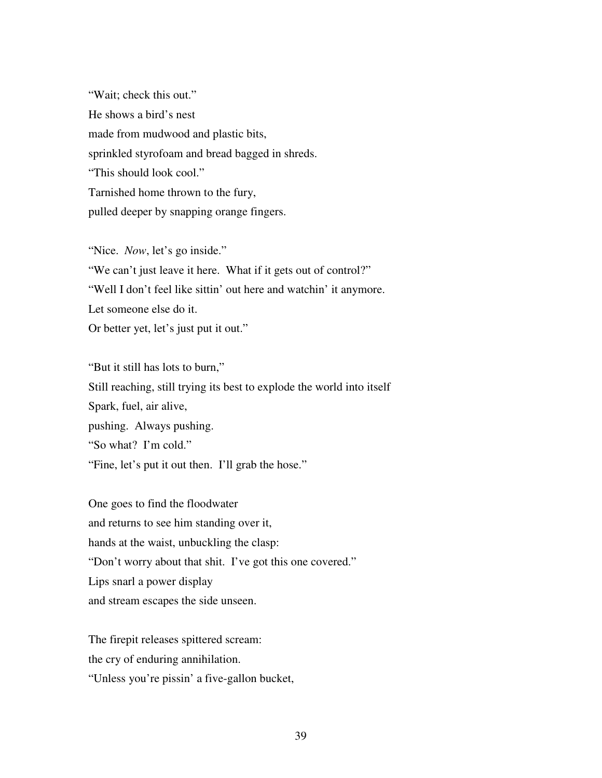"Wait; check this out." He shows a bird's nest made from mudwood and plastic bits, sprinkled styrofoam and bread bagged in shreds. "This should look cool." Tarnished home thrown to the fury, pulled deeper by snapping orange fingers.

"Nice. *Now*, let's go inside." "We can't just leave it here. What if it gets out of control?" "Well I don't feel like sittin' out here and watchin' it anymore. Let someone else do it. Or better yet, let's just put it out."

"But it still has lots to burn," Still reaching, still trying its best to explode the world into itself Spark, fuel, air alive, pushing. Always pushing. "So what? I'm cold." "Fine, let's put it out then. I'll grab the hose."

One goes to find the floodwater and returns to see him standing over it, hands at the waist, unbuckling the clasp: "Don't worry about that shit. I've got this one covered." Lips snarl a power display and stream escapes the side unseen.

The firepit releases spittered scream: the cry of enduring annihilation. "Unless you're pissin' a five-gallon bucket,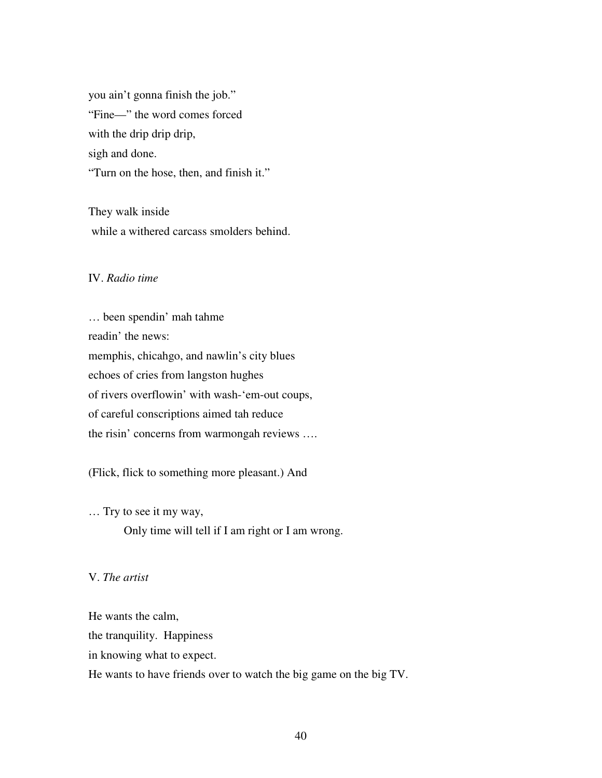you ain't gonna finish the job." "Fine—" the word comes forced with the drip drip drip, sigh and done. "Turn on the hose, then, and finish it."

They walk inside while a withered carcass smolders behind.

# IV. *Radio time*

… been spendin' mah tahme readin' the news: memphis, chicahgo, and nawlin's city blues echoes of cries from langston hughes of rivers overflowin' with wash-'em-out coups, of careful conscriptions aimed tah reduce the risin' concerns from warmongah reviews ….

(Flick, flick to something more pleasant.) And

… Try to see it my way, Only time will tell if I am right or I am wrong.

#### V. *The artist*

He wants the calm, the tranquility. Happiness in knowing what to expect.

He wants to have friends over to watch the big game on the big TV.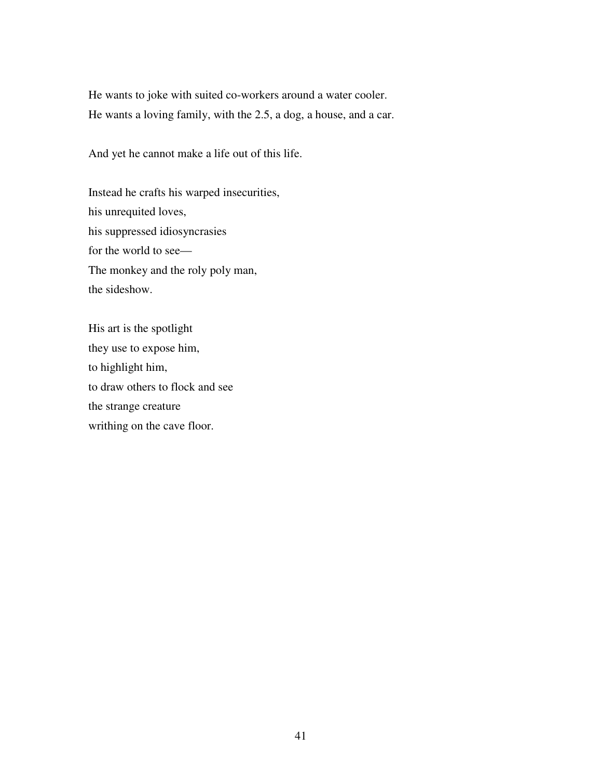He wants to joke with suited co-workers around a water cooler. He wants a loving family, with the 2.5, a dog, a house, and a car.

And yet he cannot make a life out of this life.

Instead he crafts his warped insecurities, his unrequited loves, his suppressed idiosyncrasies for the world to see— The monkey and the roly poly man, the sideshow.

His art is the spotlight they use to expose him, to highlight him, to draw others to flock and see the strange creature writhing on the cave floor.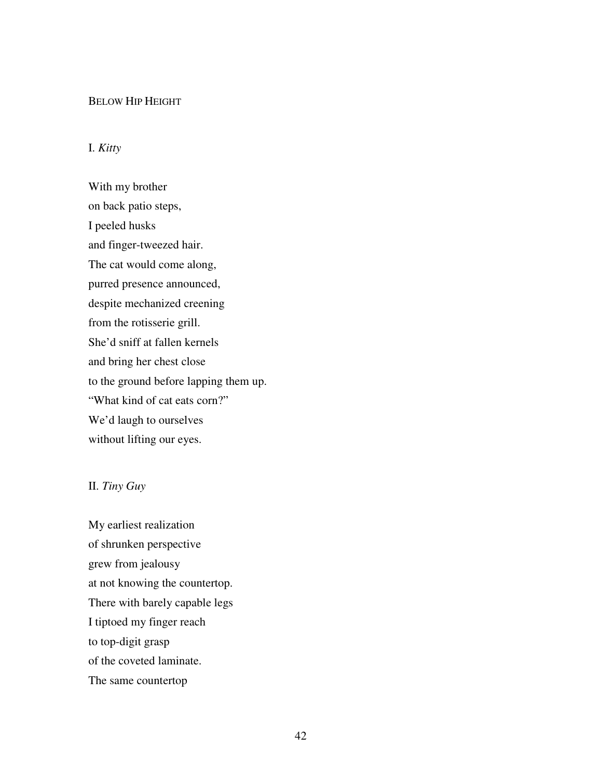#### BELOW HIP HEIGHT

### I. *Kitty*

With my brother on back patio steps, I peeled husks and finger-tweezed hair. The cat would come along, purred presence announced, despite mechanized creening from the rotisserie grill. She'd sniff at fallen kernels and bring her chest close to the ground before lapping them up. "What kind of cat eats corn?" We'd laugh to ourselves without lifting our eyes.

# II. *Tiny Guy*

My earliest realization of shrunken perspective grew from jealousy at not knowing the countertop. There with barely capable legs I tiptoed my finger reach to top-digit grasp of the coveted laminate. The same countertop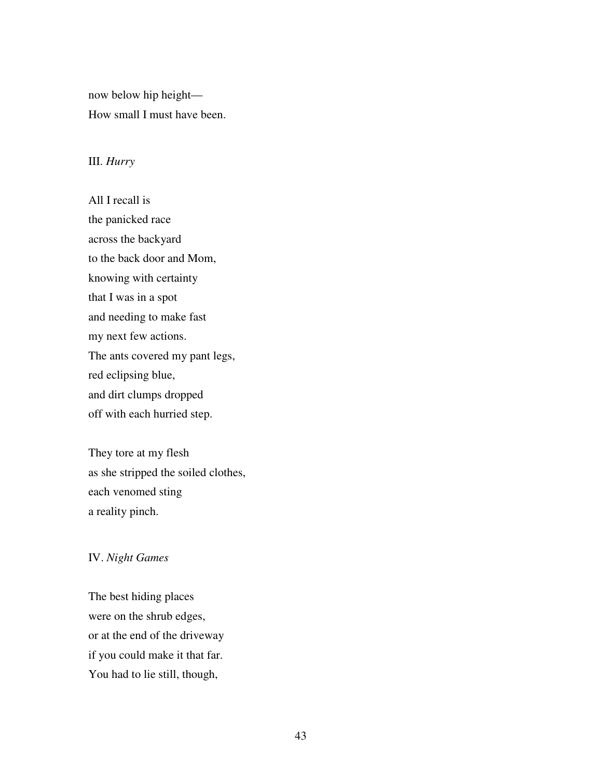now below hip height— How small I must have been.

### III. *Hurry*

All I recall is the panicked race across the backyard to the back door and Mom, knowing with certainty that I was in a spot and needing to make fast my next few actions. The ants covered my pant legs, red eclipsing blue, and dirt clumps dropped off with each hurried step.

They tore at my flesh as she stripped the soiled clothes, each venomed sting a reality pinch.

### IV. *Night Games*

The best hiding places were on the shrub edges, or at the end of the driveway if you could make it that far. You had to lie still, though,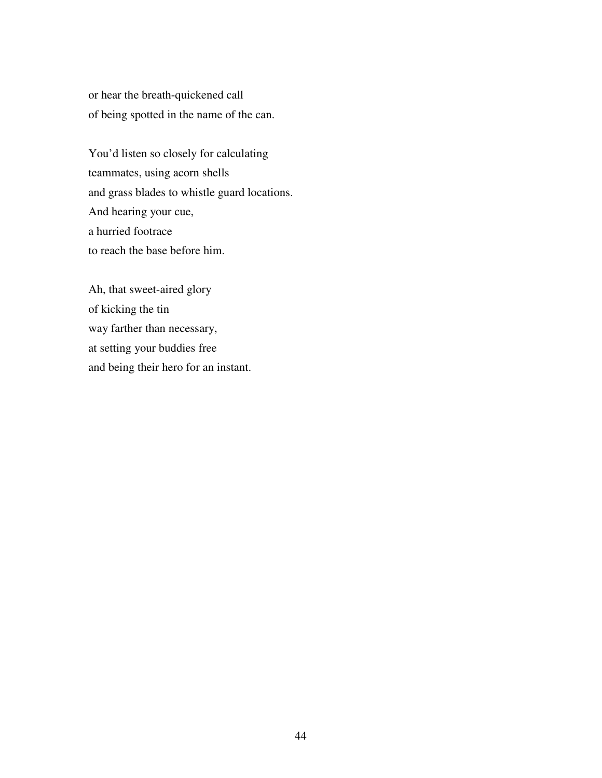or hear the breath-quickened call of being spotted in the name of the can.

You'd listen so closely for calculating teammates, using acorn shells and grass blades to whistle guard locations. And hearing your cue, a hurried footrace to reach the base before him.

Ah, that sweet-aired glory of kicking the tin way farther than necessary, at setting your buddies free and being their hero for an instant.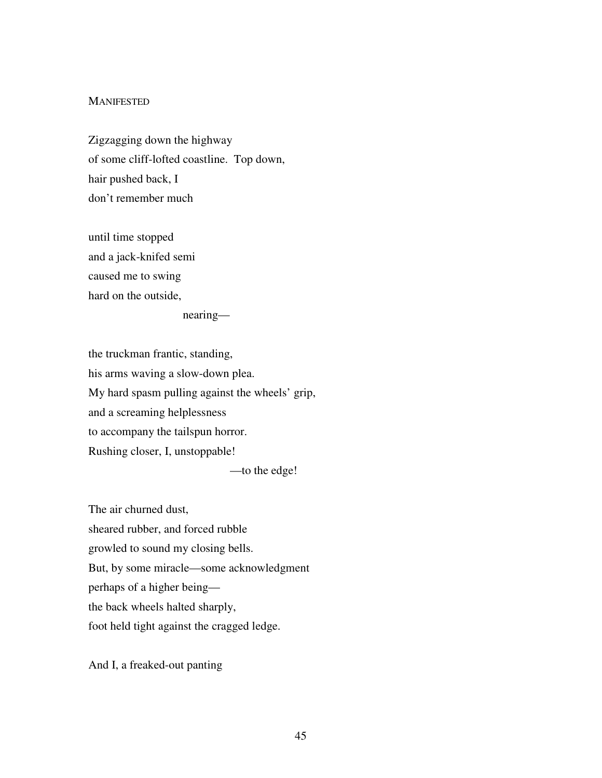#### **MANIFESTED**

Zigzagging down the highway of some cliff-lofted coastline. Top down, hair pushed back, I don't remember much

until time stopped and a jack-knifed semi caused me to swing hard on the outside,

nearing—

the truckman frantic, standing, his arms waving a slow-down plea. My hard spasm pulling against the wheels' grip, and a screaming helplessness to accompany the tailspun horror. Rushing closer, I, unstoppable!

—to the edge!

The air churned dust, sheared rubber, and forced rubble growled to sound my closing bells. But, by some miracle—some acknowledgment perhaps of a higher being the back wheels halted sharply, foot held tight against the cragged ledge.

And I, a freaked-out panting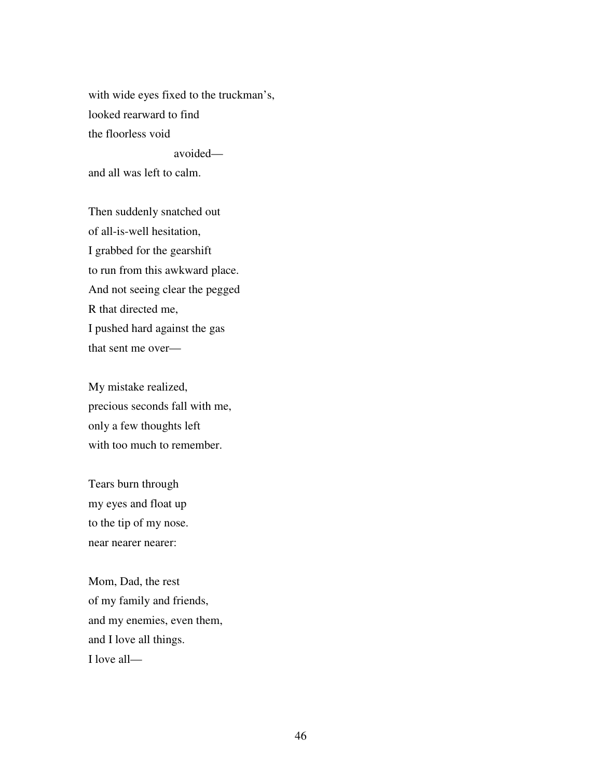with wide eyes fixed to the truckman's, looked rearward to find the floorless void

avoided—

and all was left to calm.

Then suddenly snatched out of all-is-well hesitation, I grabbed for the gearshift to run from this awkward place. And not seeing clear the pegged R that directed me, I pushed hard against the gas that sent me over—

My mistake realized, precious seconds fall with me, only a few thoughts left with too much to remember.

Tears burn through my eyes and float up to the tip of my nose. near nearer nearer:

Mom, Dad, the rest of my family and friends, and my enemies, even them, and I love all things. I love all—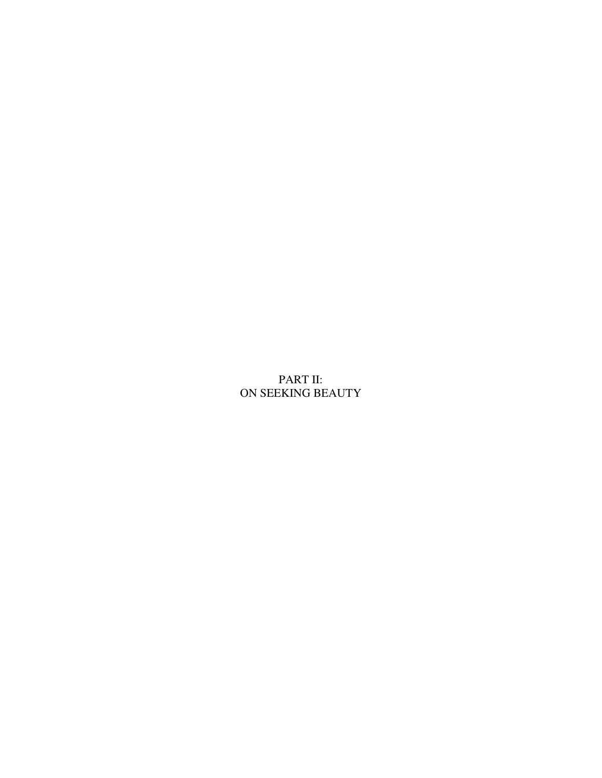# PART II: ON SEEKING BEAUTY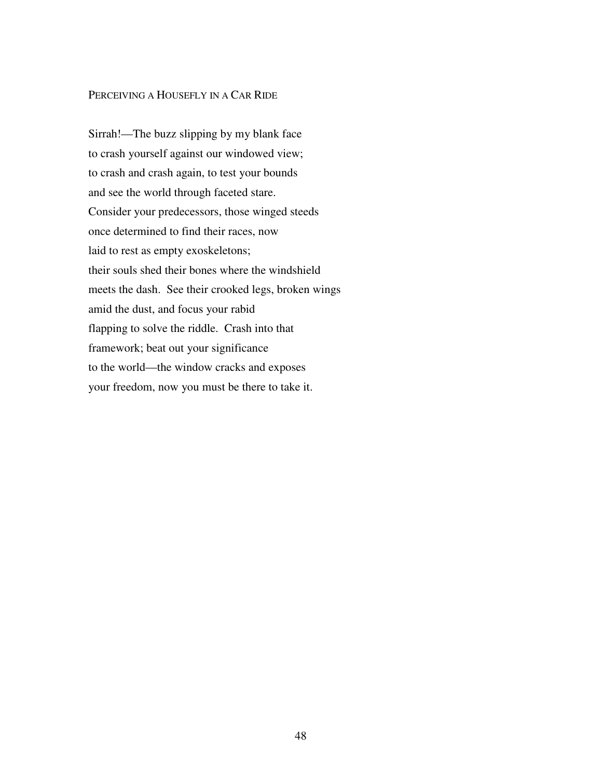### PERCEIVING A HOUSEFLY IN A CAR RIDE

Sirrah!—The buzz slipping by my blank face to crash yourself against our windowed view; to crash and crash again, to test your bounds and see the world through faceted stare. Consider your predecessors, those winged steeds once determined to find their races, now laid to rest as empty exoskeletons; their souls shed their bones where the windshield meets the dash. See their crooked legs, broken wings amid the dust, and focus your rabid flapping to solve the riddle. Crash into that framework; beat out your significance to the world—the window cracks and exposes your freedom, now you must be there to take it.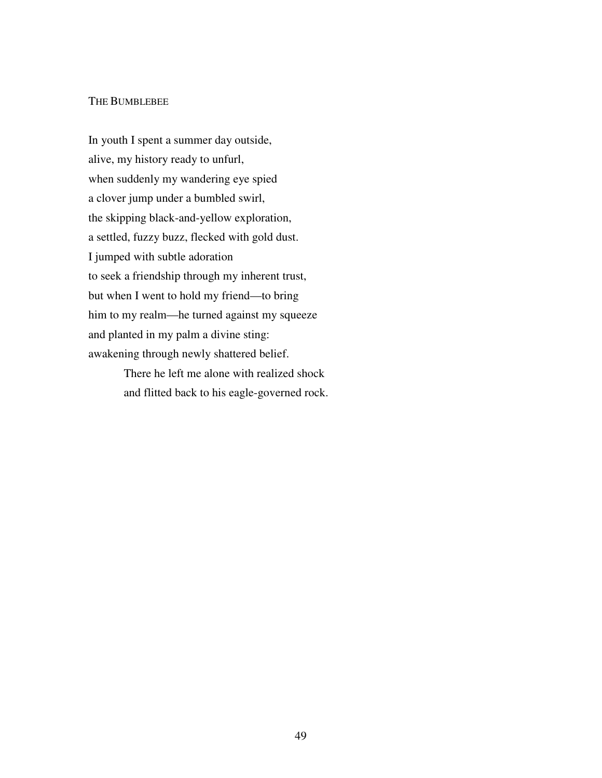### THE BUMBLEBEE

In youth I spent a summer day outside, alive, my history ready to unfurl, when suddenly my wandering eye spied a clover jump under a bumbled swirl, the skipping black-and-yellow exploration, a settled, fuzzy buzz, flecked with gold dust. I jumped with subtle adoration to seek a friendship through my inherent trust, but when I went to hold my friend—to bring him to my realm—he turned against my squeeze and planted in my palm a divine sting: awakening through newly shattered belief.

> There he left me alone with realized shock and flitted back to his eagle-governed rock.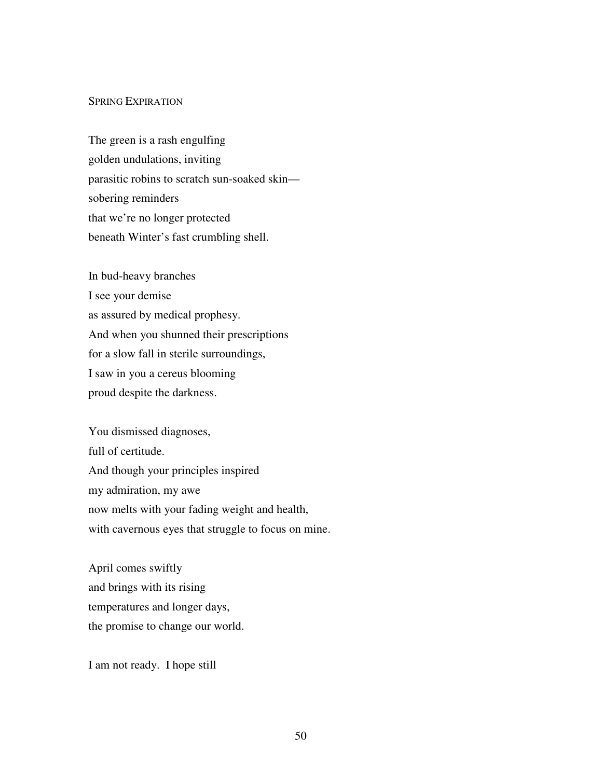#### SPRING EXPIRATION

The green is a rash engulfing golden undulations, inviting parasitic robins to scratch sun-soaked skin sobering reminders that we're no longer protected beneath Winter's fast crumbling shell.

In bud-heavy branches I see your demise as assured by medical prophesy. And when you shunned their prescriptions for a slow fall in sterile surroundings, I saw in you a cereus blooming proud despite the darkness.

You dismissed diagnoses, full of certitude. And though your principles inspired my admiration, my awe now melts with your fading weight and health, with cavernous eyes that struggle to focus on mine.

April comes swiftly and brings with its rising temperatures and longer days, the promise to change our world.

I am not ready. I hope still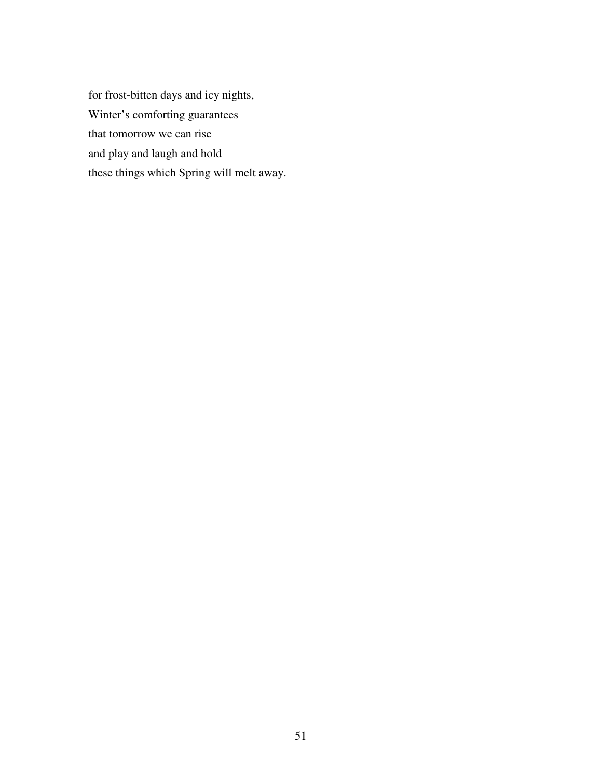for frost-bitten days and icy nights, Winter's comforting guarantees that tomorrow we can rise and play and laugh and hold these things which Spring will melt away.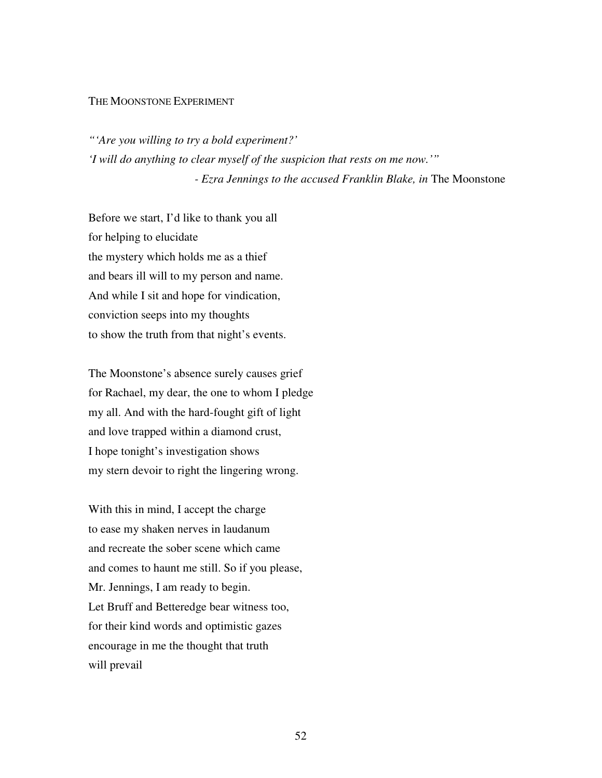#### THE MOONSTONE EXPERIMENT

*"'Are you willing to try a bold experiment?' 'I will do anything to clear myself of the suspicion that rests on me now.'" - Ezra Jennings to the accused Franklin Blake, in* The Moonstone

Before we start, I'd like to thank you all for helping to elucidate the mystery which holds me as a thief and bears ill will to my person and name. And while I sit and hope for vindication, conviction seeps into my thoughts to show the truth from that night's events.

The Moonstone's absence surely causes grief for Rachael, my dear, the one to whom I pledge my all. And with the hard-fought gift of light and love trapped within a diamond crust, I hope tonight's investigation shows my stern devoir to right the lingering wrong.

With this in mind, I accept the charge to ease my shaken nerves in laudanum and recreate the sober scene which came and comes to haunt me still. So if you please, Mr. Jennings, I am ready to begin. Let Bruff and Betteredge bear witness too, for their kind words and optimistic gazes encourage in me the thought that truth will prevail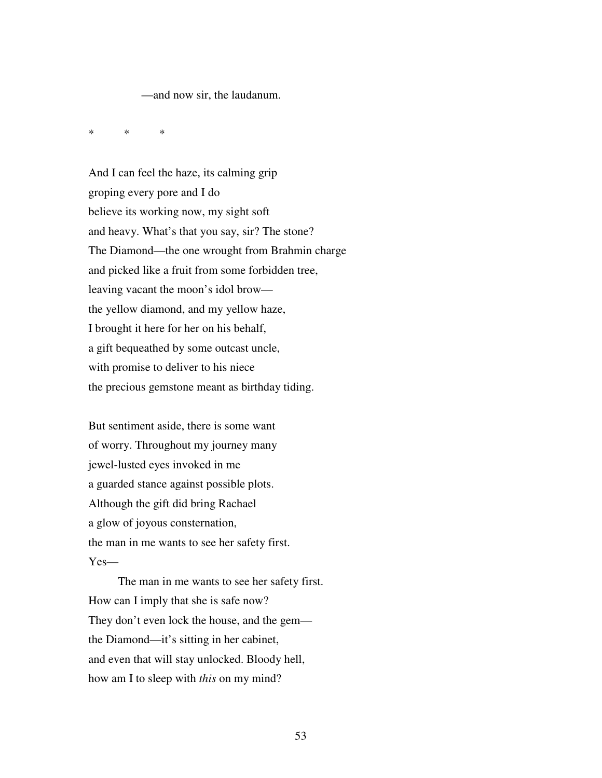—and now sir, the laudanum.

\* \* \*

And I can feel the haze, its calming grip groping every pore and I do believe its working now, my sight soft and heavy. What's that you say, sir? The stone? The Diamond—the one wrought from Brahmin charge and picked like a fruit from some forbidden tree, leaving vacant the moon's idol brow the yellow diamond, and my yellow haze, I brought it here for her on his behalf, a gift bequeathed by some outcast uncle, with promise to deliver to his niece the precious gemstone meant as birthday tiding.

But sentiment aside, there is some want of worry. Throughout my journey many jewel-lusted eyes invoked in me a guarded stance against possible plots. Although the gift did bring Rachael a glow of joyous consternation, the man in me wants to see her safety first. Yes—

 The man in me wants to see her safety first. How can I imply that she is safe now? They don't even lock the house, and the gem the Diamond—it's sitting in her cabinet, and even that will stay unlocked. Bloody hell, how am I to sleep with *this* on my mind?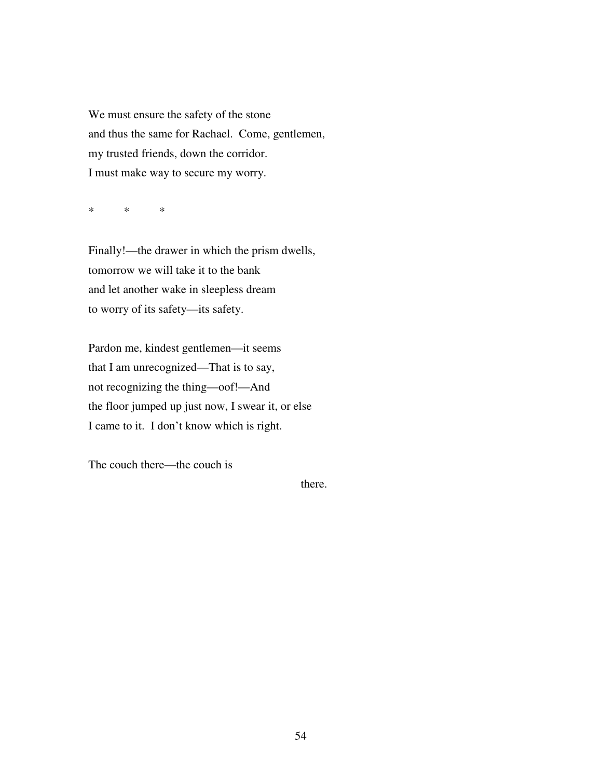We must ensure the safety of the stone and thus the same for Rachael. Come, gentlemen, my trusted friends, down the corridor. I must make way to secure my worry.

\* \* \*

Finally!—the drawer in which the prism dwells, tomorrow we will take it to the bank and let another wake in sleepless dream to worry of its safety—its safety.

Pardon me, kindest gentlemen—it seems that I am unrecognized—That is to say, not recognizing the thing—oof!—And the floor jumped up just now, I swear it, or else I came to it. I don't know which is right.

The couch there—the couch is

there.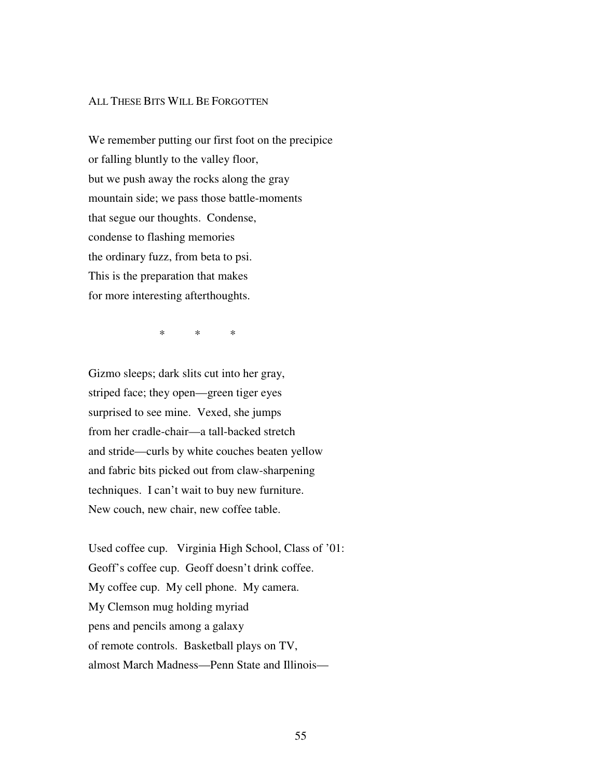#### ALL THESE BITS WILL BE FORGOTTEN

We remember putting our first foot on the precipice or falling bluntly to the valley floor, but we push away the rocks along the gray mountain side; we pass those battle-moments that segue our thoughts. Condense, condense to flashing memories the ordinary fuzz, from beta to psi. This is the preparation that makes for more interesting afterthoughts.

\* \* \*

Gizmo sleeps; dark slits cut into her gray, striped face; they open—green tiger eyes surprised to see mine. Vexed, she jumps from her cradle-chair—a tall-backed stretch and stride—curls by white couches beaten yellow and fabric bits picked out from claw-sharpening techniques. I can't wait to buy new furniture. New couch, new chair, new coffee table.

Used coffee cup. Virginia High School, Class of '01: Geoff's coffee cup. Geoff doesn't drink coffee. My coffee cup. My cell phone. My camera. My Clemson mug holding myriad pens and pencils among a galaxy of remote controls. Basketball plays on TV, almost March Madness—Penn State and Illinois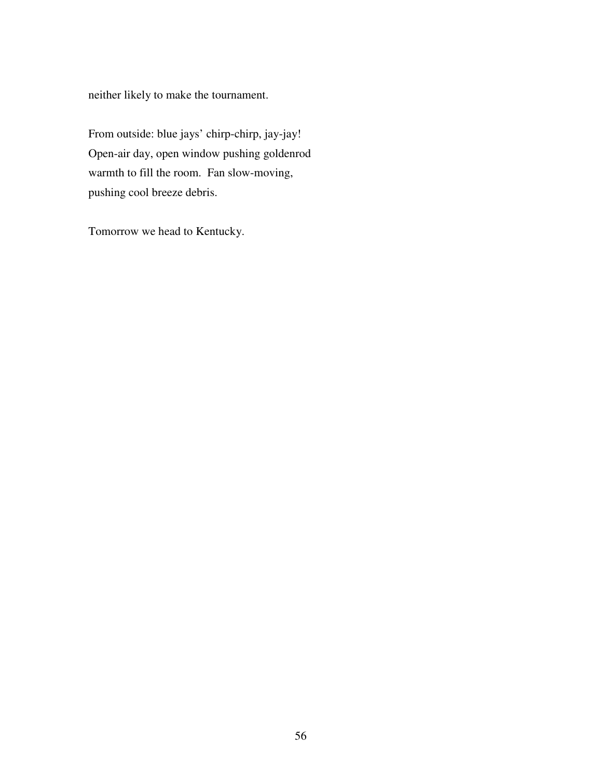neither likely to make the tournament.

From outside: blue jays' chirp-chirp, jay-jay! Open-air day, open window pushing goldenrod warmth to fill the room. Fan slow-moving, pushing cool breeze debris.

Tomorrow we head to Kentucky.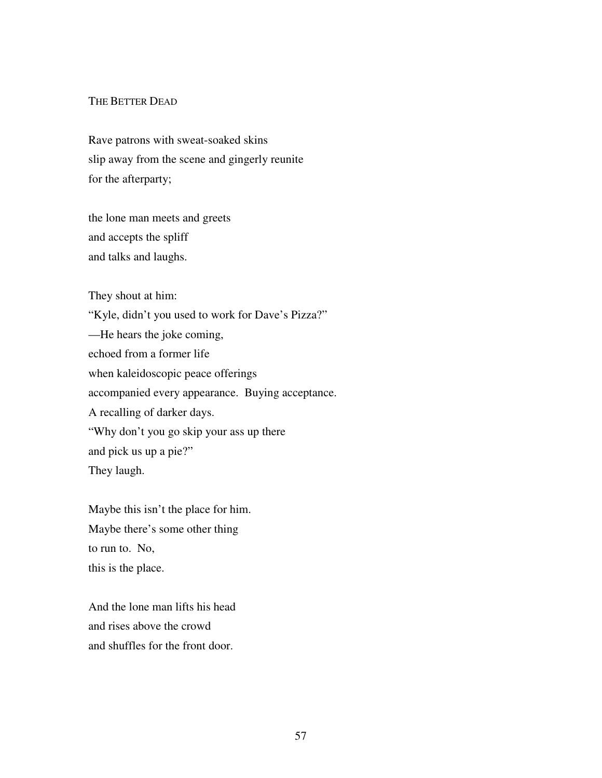### THE BETTER DEAD

Rave patrons with sweat-soaked skins slip away from the scene and gingerly reunite for the afterparty;

the lone man meets and greets and accepts the spliff and talks and laughs.

They shout at him:

"Kyle, didn't you used to work for Dave's Pizza?" —He hears the joke coming, echoed from a former life when kaleidoscopic peace offerings accompanied every appearance. Buying acceptance. A recalling of darker days. "Why don't you go skip your ass up there and pick us up a pie?" They laugh.

Maybe this isn't the place for him. Maybe there's some other thing to run to. No, this is the place.

And the lone man lifts his head and rises above the crowd and shuffles for the front door.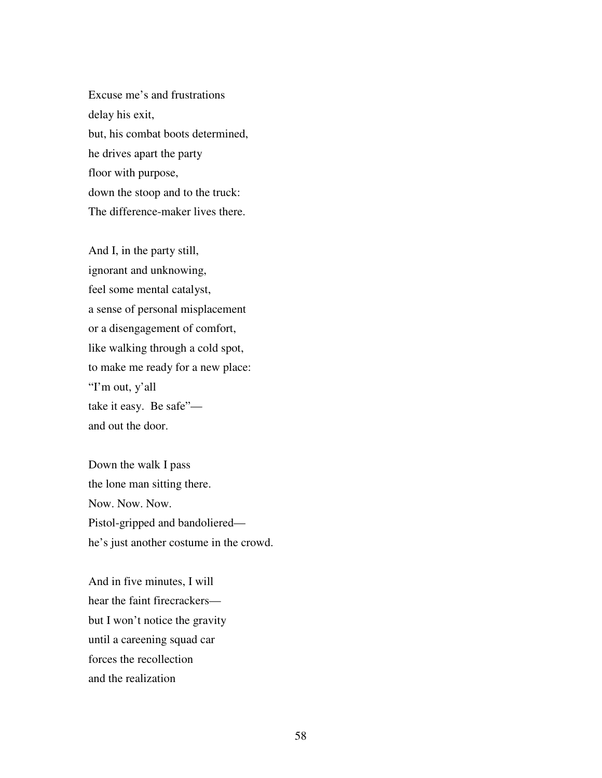Excuse me's and frustrations delay his exit, but, his combat boots determined, he drives apart the party floor with purpose, down the stoop and to the truck: The difference-maker lives there.

And I, in the party still, ignorant and unknowing, feel some mental catalyst, a sense of personal misplacement or a disengagement of comfort, like walking through a cold spot, to make me ready for a new place: "I'm out, y'all take it easy. Be safe" and out the door.

Down the walk I pass the lone man sitting there. Now. Now. Now. Pistol-gripped and bandoliered he's just another costume in the crowd.

And in five minutes, I will hear the faint firecrackers but I won't notice the gravity until a careening squad car forces the recollection and the realization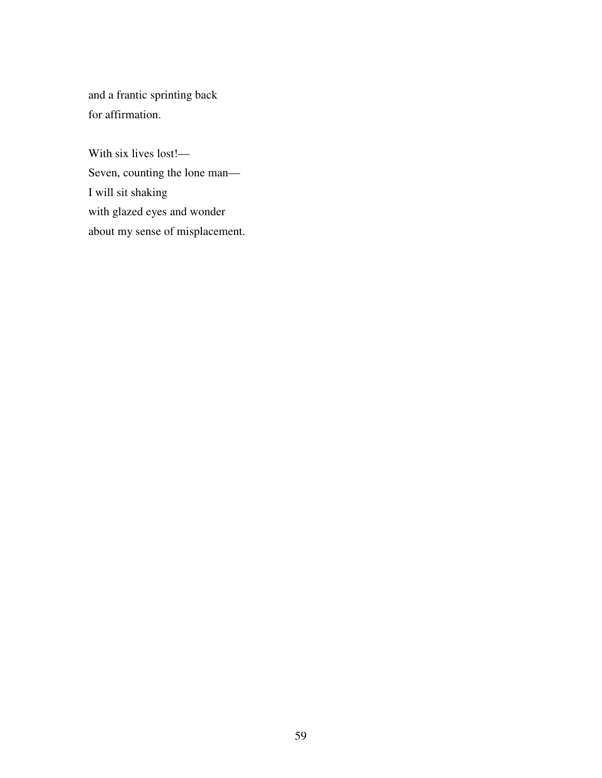and a frantic sprinting back for affirmation.

With six lives lost!— Seven, counting the lone man— I will sit shaking with glazed eyes and wonder about my sense of misplacement.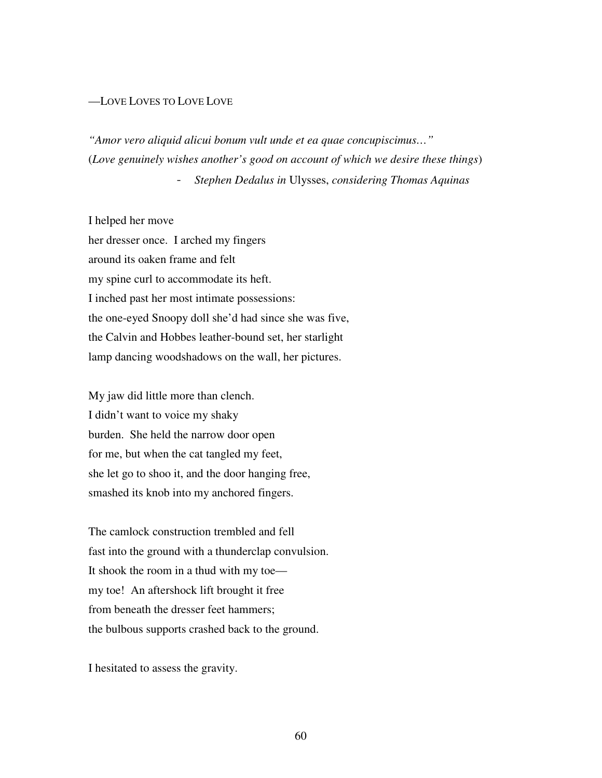#### —LOVE LOVES TO LOVE LOVE

*"Amor vero aliquid alicui bonum vult unde et ea quae concupiscimus…"*  (*Love genuinely wishes another's good on account of which we desire these things*) - *Stephen Dedalus in* Ulysses, *considering Thomas Aquinas* 

I helped her move her dresser once. I arched my fingers around its oaken frame and felt my spine curl to accommodate its heft. I inched past her most intimate possessions: the one-eyed Snoopy doll she'd had since she was five, the Calvin and Hobbes leather-bound set, her starlight lamp dancing woodshadows on the wall, her pictures.

My jaw did little more than clench. I didn't want to voice my shaky burden. She held the narrow door open for me, but when the cat tangled my feet, she let go to shoo it, and the door hanging free, smashed its knob into my anchored fingers.

The camlock construction trembled and fell fast into the ground with a thunderclap convulsion. It shook the room in a thud with my toe my toe! An aftershock lift brought it free from beneath the dresser feet hammers; the bulbous supports crashed back to the ground.

I hesitated to assess the gravity.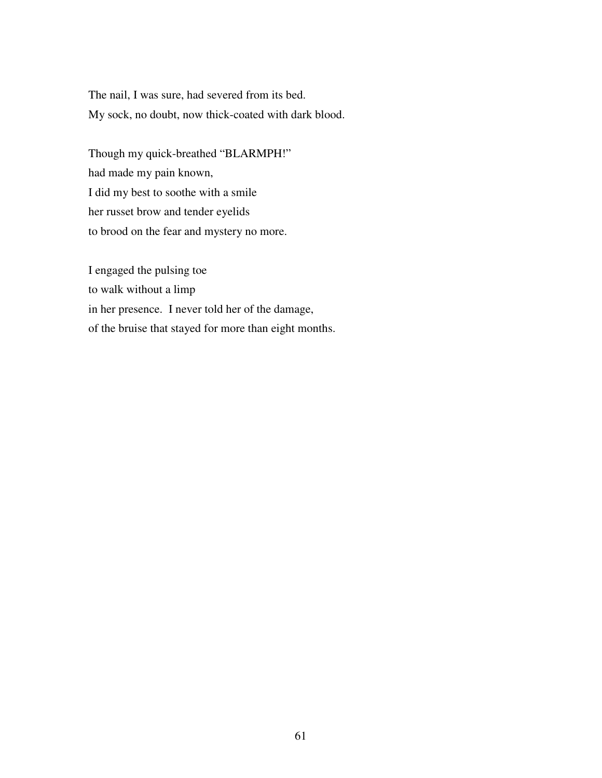The nail, I was sure, had severed from its bed. My sock, no doubt, now thick-coated with dark blood.

Though my quick-breathed "BLARMPH!" had made my pain known, I did my best to soothe with a smile her russet brow and tender eyelids to brood on the fear and mystery no more.

I engaged the pulsing toe to walk without a limp in her presence. I never told her of the damage, of the bruise that stayed for more than eight months.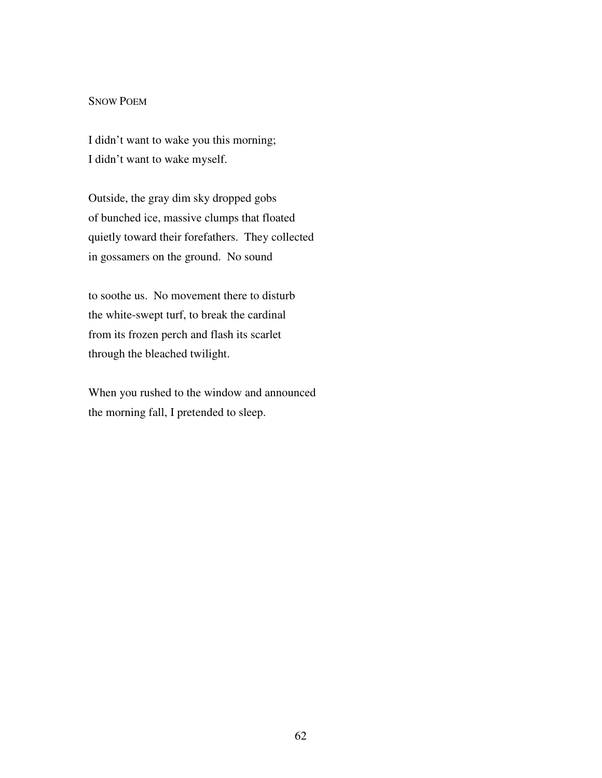#### SNOW POEM

I didn't want to wake you this morning; I didn't want to wake myself.

Outside, the gray dim sky dropped gobs of bunched ice, massive clumps that floated quietly toward their forefathers. They collected in gossamers on the ground. No sound

to soothe us. No movement there to disturb the white-swept turf, to break the cardinal from its frozen perch and flash its scarlet through the bleached twilight.

When you rushed to the window and announced the morning fall, I pretended to sleep.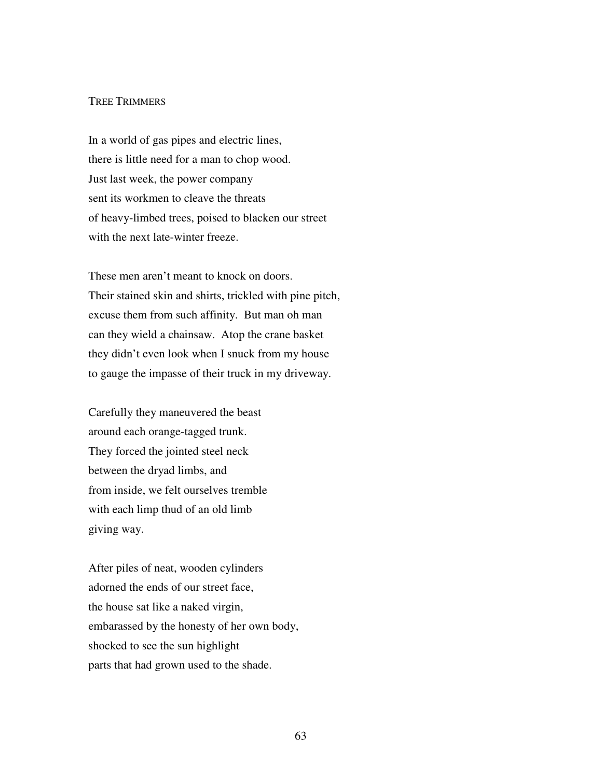### TREE TRIMMERS

In a world of gas pipes and electric lines, there is little need for a man to chop wood. Just last week, the power company sent its workmen to cleave the threats of heavy-limbed trees, poised to blacken our street with the next late-winter freeze.

These men aren't meant to knock on doors. Their stained skin and shirts, trickled with pine pitch, excuse them from such affinity. But man oh man can they wield a chainsaw. Atop the crane basket they didn't even look when I snuck from my house to gauge the impasse of their truck in my driveway.

Carefully they maneuvered the beast around each orange-tagged trunk. They forced the jointed steel neck between the dryad limbs, and from inside, we felt ourselves tremble with each limp thud of an old limb giving way.

After piles of neat, wooden cylinders adorned the ends of our street face, the house sat like a naked virgin, embarassed by the honesty of her own body, shocked to see the sun highlight parts that had grown used to the shade.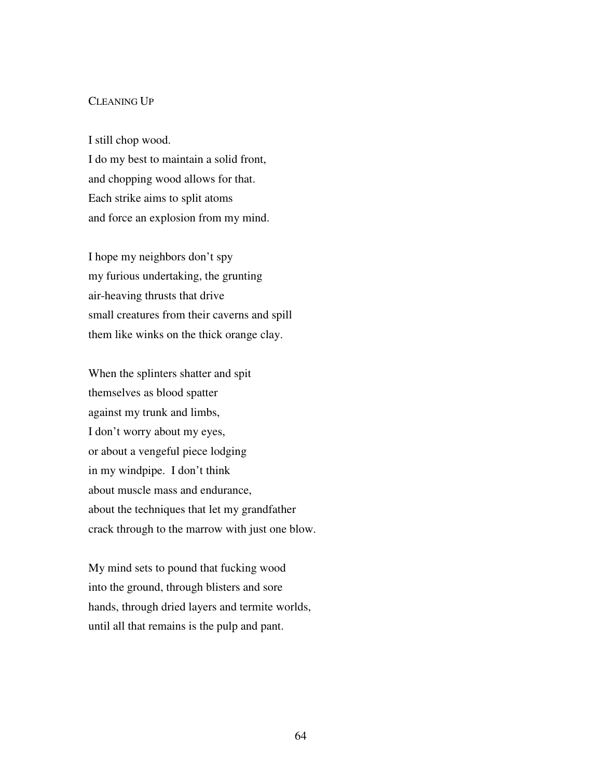### CLEANING UP

I still chop wood. I do my best to maintain a solid front, and chopping wood allows for that.

Each strike aims to split atoms and force an explosion from my mind.

I hope my neighbors don't spy my furious undertaking, the grunting air-heaving thrusts that drive small creatures from their caverns and spill them like winks on the thick orange clay.

When the splinters shatter and spit themselves as blood spatter against my trunk and limbs, I don't worry about my eyes, or about a vengeful piece lodging in my windpipe. I don't think about muscle mass and endurance, about the techniques that let my grandfather crack through to the marrow with just one blow.

My mind sets to pound that fucking wood into the ground, through blisters and sore hands, through dried layers and termite worlds, until all that remains is the pulp and pant.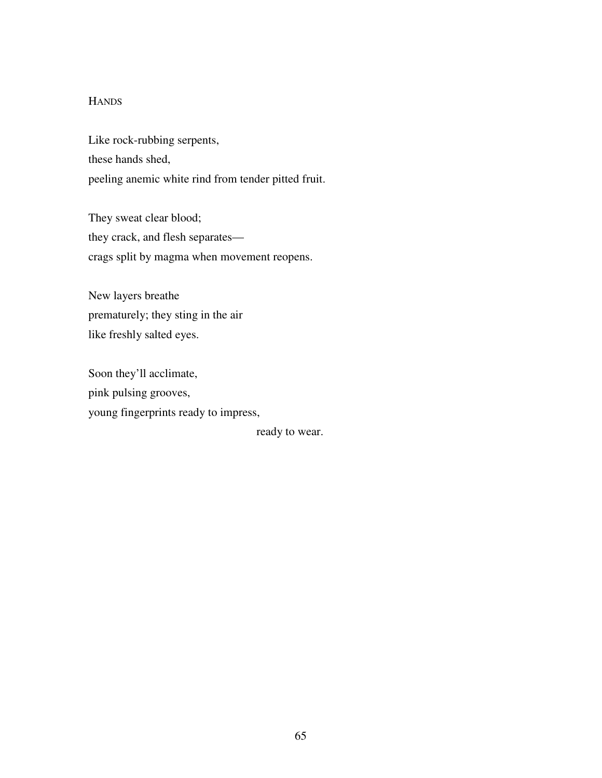# **HANDS**

Like rock-rubbing serpents, these hands shed, peeling anemic white rind from tender pitted fruit.

They sweat clear blood; they crack, and flesh separates crags split by magma when movement reopens.

New layers breathe prematurely; they sting in the air like freshly salted eyes.

Soon they'll acclimate, pink pulsing grooves, young fingerprints ready to impress,

ready to wear.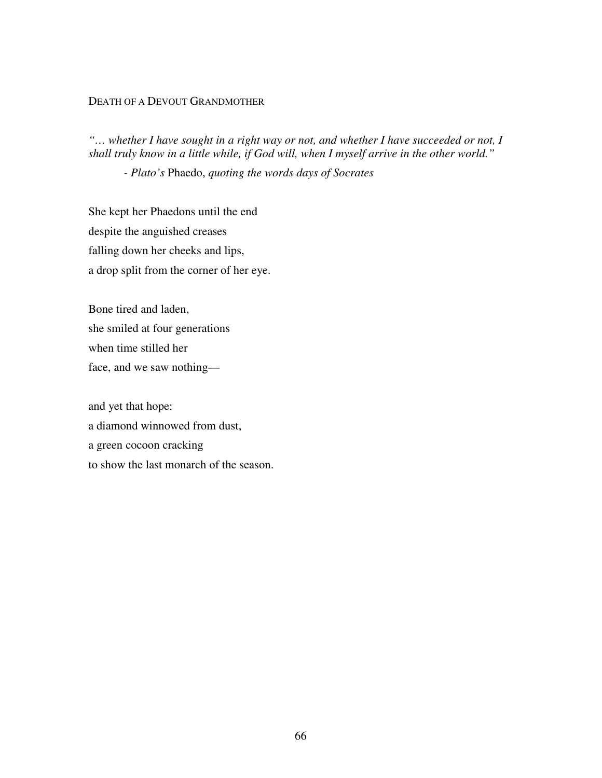## DEATH OF A DEVOUT GRANDMOTHER

*"… whether I have sought in a right way or not, and whether I have succeeded or not, I shall truly know in a little while, if God will, when I myself arrive in the other world."* 

 *- Plato's* Phaedo, *quoting the words days of Socrates* 

She kept her Phaedons until the end despite the anguished creases falling down her cheeks and lips, a drop split from the corner of her eye.

Bone tired and laden, she smiled at four generations when time stilled her face, and we saw nothing—

and yet that hope: a diamond winnowed from dust, a green cocoon cracking to show the last monarch of the season.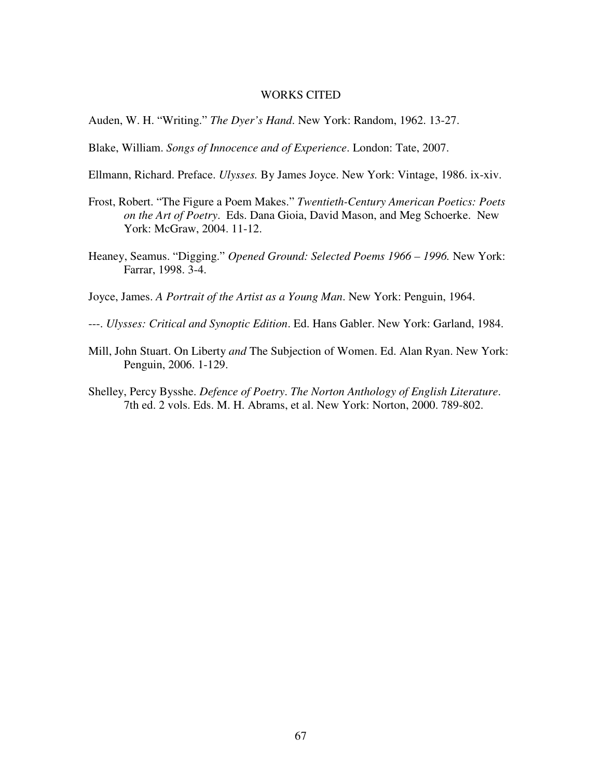## WORKS CITED

Auden, W. H. "Writing." *The Dyer's Hand*. New York: Random, 1962. 13-27.

Blake, William. *Songs of Innocence and of Experience*. London: Tate, 2007.

- Ellmann, Richard. Preface. *Ulysses.* By James Joyce. New York: Vintage, 1986. ix-xiv.
- Frost, Robert. "The Figure a Poem Makes." *Twentieth-Century American Poetics: Poets on the Art of Poetry*. Eds. Dana Gioia, David Mason, and Meg Schoerke. New York: McGraw, 2004. 11-12.
- Heaney, Seamus. "Digging." *Opened Ground: Selected Poems 1966 1996.* New York: Farrar, 1998. 3-4.

Joyce, James. *A Portrait of the Artist as a Young Man*. New York: Penguin, 1964.

- ---. *Ulysses: Critical and Synoptic Edition*. Ed. Hans Gabler. New York: Garland, 1984.
- Mill, John Stuart. On Liberty *and* The Subjection of Women. Ed. Alan Ryan. New York: Penguin, 2006. 1-129.
- Shelley, Percy Bysshe. *Defence of Poetry*. *The Norton Anthology of English Literature*. 7th ed. 2 vols. Eds. M. H. Abrams, et al. New York: Norton, 2000. 789-802.